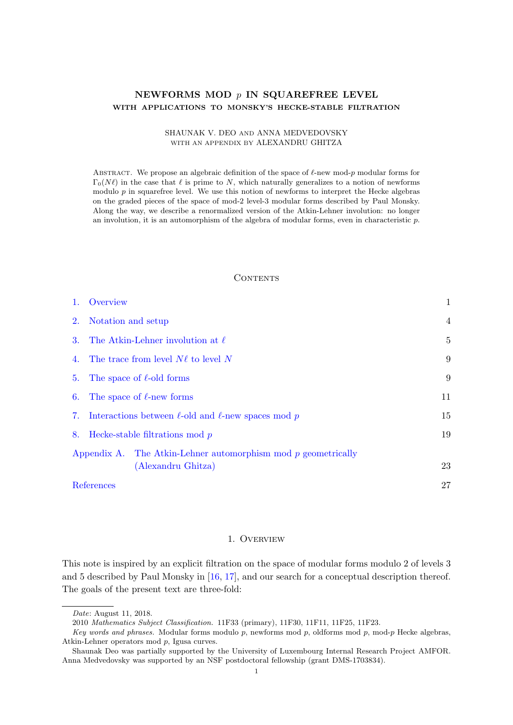## NEWFORMS MOD p IN SQUAREFREE LEVEL WITH APPLICATIONS TO MONSKY'S HECKE-STABLE FILTRATION

### SHAUNAK V. DEO AND ANNA MEDVEDOVSKY WITH AN APPENDIX BY ALEXANDRU GHITZA

ABSTRACT. We propose an algebraic definition of the space of  $\ell$ -new mod-p modular forms for  $\Gamma_0(N\ell)$  in the case that  $\ell$  is prime to N, which naturally generalizes to a notion of newforms modulo p in squarefree level. We use this notion of newforms to interpret the Hecke algebras on the graded pieces of the space of mod-2 level-3 modular forms described by Paul Monsky. Along the way, we describe a renormalized version of the Atkin-Lehner involution: no longer an involution, it is an automorphism of the algebra of modular forms, even in characteristic  $p$ .

### **CONTENTS**

| $\mathbf{1}_{\mathbf{1}_{\mathbf{1}}}$ | Overview                                                        | 1  |  |  |  |
|----------------------------------------|-----------------------------------------------------------------|----|--|--|--|
| 2.                                     | Notation and setup                                              |    |  |  |  |
|                                        | 3. The Atkin-Lehner involution at $\ell$                        |    |  |  |  |
|                                        | 4. The trace from level $N\ell$ to level N                      |    |  |  |  |
| 5.                                     | The space of $\ell$ -old forms                                  |    |  |  |  |
| 6.                                     | The space of $\ell$ -new forms                                  | 11 |  |  |  |
| 7.                                     | Interactions between $\ell$ -old and $\ell$ -new spaces mod p   |    |  |  |  |
| 8.                                     | Hecke-stable filtrations mod $p$                                |    |  |  |  |
|                                        | Appendix A. The Atkin-Lehner automorphism mod $p$ geometrically |    |  |  |  |
|                                        | (Alexandru Ghitza)                                              | 23 |  |  |  |
|                                        | References                                                      | 27 |  |  |  |

## 1. Overview

<span id="page-0-0"></span>This note is inspired by an explicit filtration on the space of modular forms modulo 2 of levels 3 and 5 described by Paul Monsky in [\[16,](#page-27-0) [17\]](#page-27-1), and our search for a conceptual description thereof. The goals of the present text are three-fold:

Date: August 11, 2018.

<sup>2010</sup> Mathematics Subject Classification. 11F33 (primary), 11F30, 11F11, 11F25, 11F23.

Key words and phrases. Modular forms modulo  $p$ , newforms mod  $p$ , oldforms mod  $p$ , mod- $p$  Hecke algebras, Atkin-Lehner operators mod p, Igusa curves.

Shaunak Deo was partially supported by the University of Luxembourg Internal Research Project AMFOR. Anna Medvedovsky was supported by an NSF postdoctoral fellowship (grant DMS-1703834).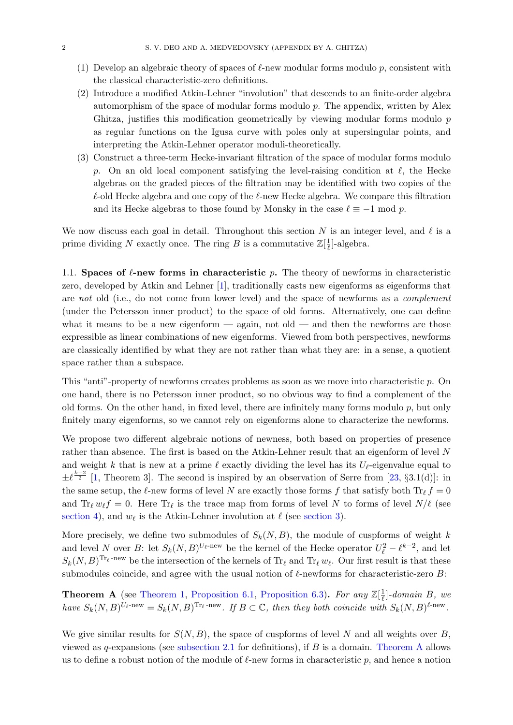- (1) Develop an algebraic theory of spaces of  $\ell$ -new modular forms modulo p, consistent with the classical characteristic-zero definitions.
- (2) Introduce a modified Atkin-Lehner "involution" that descends to an finite-order algebra automorphism of the space of modular forms modulo p. The appendix, written by Alex Ghitza, justifies this modification geometrically by viewing modular forms modulo  $p$ as regular functions on the Igusa curve with poles only at supersingular points, and interpreting the Atkin-Lehner operator moduli-theoretically.
- (3) Construct a three-term Hecke-invariant filtration of the space of modular forms modulo p. On an old local component satisfying the level-raising condition at  $\ell$ , the Hecke algebras on the graded pieces of the filtration may be identified with two copies of the  $\ell$ -old Hecke algebra and one copy of the  $\ell$ -new Hecke algebra. We compare this filtration and its Hecke algebras to those found by Monsky in the case  $\ell \equiv -1 \mod p$ .

We now discuss each goal in detail. Throughout this section N is an integer level, and  $\ell$  is a prime dividing N exactly once. The ring B is a commutative  $\mathbb{Z}[\frac{1}{\ell}]$  $\frac{1}{\ell}$ ]-algebra.

1.1. Spaces of  $\ell$ -new forms in characteristic p. The theory of newforms in characteristic zero, developed by Atkin and Lehner [\[1\]](#page-26-1), traditionally casts new eigenforms as eigenforms that are not old (i.e., do not come from lower level) and the space of newforms as a complement (under the Petersson inner product) to the space of old forms. Alternatively, one can define what it means to be a new eigenform  $-$  again, not old  $-$  and then the newforms are those expressible as linear combinations of new eigenforms. Viewed from both perspectives, newforms are classically identified by what they are not rather than what they are: in a sense, a quotient space rather than a subspace.

This "anti"-property of newforms creates problems as soon as we move into characteristic  $p$ . On one hand, there is no Petersson inner product, so no obvious way to find a complement of the old forms. On the other hand, in fixed level, there are infinitely many forms modulo  $p$ , but only finitely many eigenforms, so we cannot rely on eigenforms alone to characterize the newforms.

We propose two different algebraic notions of newness, both based on properties of presence rather than absence. The first is based on the Atkin-Lehner result that an eigenform of level N and weight k that is new at a prime  $\ell$  exactly dividing the level has its  $U_{\ell}$ -eigenvalue equal to  $\pm \ell^{\frac{k-2}{2}}$  [\[1,](#page-26-1) Theorem 3]. The second is inspired by an observation of Serre from [\[23,](#page-27-2) §3.1(d)]: in the same setup, the  $\ell$ -new forms of level N are exactly those forms f that satisfy both  $\text{Tr}_\ell f = 0$ and  $\text{Tr}_{\ell} w_{\ell} f = 0$ . Here  $\text{Tr}_{\ell}$  is the trace map from forms of level N to forms of level  $N/\ell$  (see [section 4\)](#page-8-0), and  $w_{\ell}$  is the Atkin-Lehner involution at  $\ell$  (see [section 3\)](#page-4-0).

More precisely, we define two submodules of  $S_k(N, B)$ , the module of cuspforms of weight k and level N over B: let  $S_k(N, B)^{U_{\ell}$ -new be the kernel of the Hecke operator  $U_{\ell}^2 - \ell^{k-2}$ , and let  $S_k(N, B)$ <sup>Tr<sub> $\ell$ </sub>-new be the intersection of the kernels of Tr<sub> $\ell$ </sub> and Tr<sub> $\ell$ </sub> w<sub> $\ell$ </sub>. Our first result is that these</sup> submodules coincide, and agree with the usual notion of  $\ell$ -newforms for characteristic-zero B:

<span id="page-1-0"></span>**Theorem A** (see [Theorem 1,](#page-11-0) [Proposition 6.1,](#page-10-1) [Proposition 6.3\)](#page-11-1). For any  $\mathbb{Z}[\frac{1}{\ell}]$  $\frac{1}{\ell}$ ]-domain B, we have  $S_k(N, B)^{U_{\ell} - new} = S_k(N, B)^{\text{Tr}_{\ell} - new}$ . If  $B \subset \mathbb{C}$ , then they both coincide with  $S_k(N, B)^{\ell - new}$ .

We give similar results for  $S(N, B)$ , the space of cuspforms of level N and all weights over B, viewed as  $q$ -expansions (see [subsection 2.1](#page-3-1) for definitions), if B is a domain. [Theorem A](#page-1-0) allows us to define a robust notion of the module of  $\ell$ -new forms in characteristic p, and hence a notion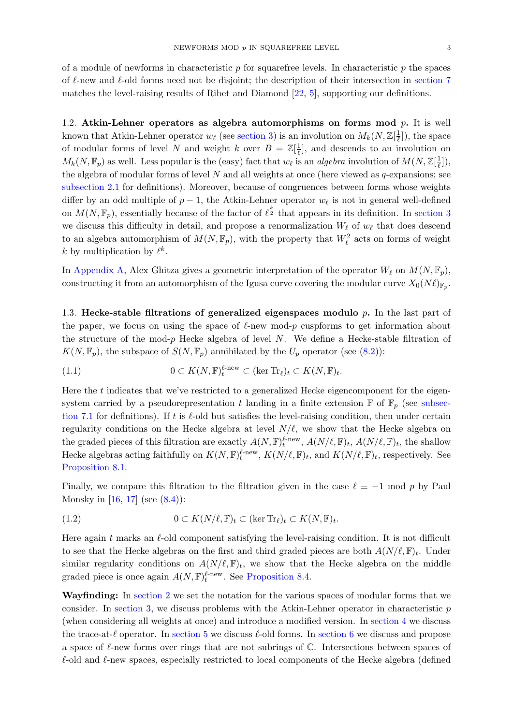of a module of newforms in characteristic  $p$  for squarefree levels. In characteristic  $p$  the spaces of  $\ell$ -new and  $\ell$ -old forms need not be disjoint; the description of their intersection in [section 7](#page-14-0) matches the level-raising results of Ribet and Diamond [\[22,](#page-27-3) [5\]](#page-26-2), supporting our definitions.

1.2. Atkin-Lehner operators as algebra automorphisms on forms mod  $p$ . It is well known that Atkin-Lehner operator  $w_{\ell}$  (see [section 3\)](#page-4-0) is an involution on  $M_k(N, \mathbb{Z}[\frac{1}{\ell})$  $\frac{1}{\ell}]$ , the space of modular forms of level N and weight k over  $B = \mathbb{Z}[\frac{1}{\ell}]$  $\frac{1}{\ell}$ , and descends to an involution on  $M_k(N, \mathbb{F}_p)$  as well. Less popular is the (easy) fact that  $w_\ell$  is an algebra involution of  $M(N, \mathbb{Z}[\frac{1}{\ell}])$  $\frac{1}{\ell}$ ]), the algebra of modular forms of level  $N$  and all weights at once (here viewed as  $q$ -expansions; see [subsection 2.1](#page-3-1) for definitions). Moreover, because of congruences between forms whose weights differ by an odd multiple of  $p-1$ , the Atkin-Lehner operator  $w_{\ell}$  is not in general well-defined on  $M(N, \mathbb{F}_p)$ , essentially because of the factor of  $\ell^{\frac{k}{2}}$  that appears in its definition. In [section 3](#page-4-0) we discuss this difficulty in detail, and propose a renormalization  $W_{\ell}$  of  $w_{\ell}$  that does descend to an algebra automorphism of  $M(N, \mathbb{F}_p)$ , with the property that  $W_\ell^2$  acts on forms of weight k by multiplication by  $\ell^k$ .

In [Appendix A,](#page-22-0) Alex Ghitza gives a geometric interpretation of the operator  $W_\ell$  on  $M(N, \mathbb{F}_p)$ , constructing it from an automorphism of the Igusa curve covering the modular curve  $X_0(N\ell)_{\mathbb{F}_p}$ .

1.3. Hecke-stable filtrations of generalized eigenspaces modulo  $p$ . In the last part of the paper, we focus on using the space of  $\ell$ -new mod-p cuspforms to get information about the structure of the mod-p Hecke algebra of level  $N$ . We define a Hecke-stable filtration of  $K(N, \mathbb{F}_p)$ , the subspace of  $S(N, \mathbb{F}_p)$  annihilated by the  $U_p$  operator (see [\(8.2\)](#page-18-1)):

(1.1) 
$$
0 \subset K(N, \mathbb{F})_t^{\ell \text{-new}} \subset (\ker \text{Tr}_{\ell})_t \subset K(N, \mathbb{F})_t.
$$

Here the  $t$  indicates that we've restricted to a generalized Hecke eigencomponent for the eigensystem carried by a pseudorepresentation t landing in a finite extension  $\mathbb{F}$  of  $\mathbb{F}_p$  (see [subsec](#page-14-1)[tion 7.1](#page-14-1) for definitions). If  $t$  is  $\ell$ -old but satisfies the level-raising condition, then under certain regularity conditions on the Hecke algebra at level  $N/\ell$ , we show that the Hecke algebra on the graded pieces of this filtration are exactly  $A(N,\mathbb{F})_t^{\ell-\text{new}}, A(N/\ell,\mathbb{F})_t, A(N/\ell,\mathbb{F})_t$ , the shallow Hecke algebras acting faithfully on  $K(N, \mathbb{F})_t^{\ell \text{-new}}$ ,  $K(N/\ell, \mathbb{F})_t$ , and  $K(N/\ell, \mathbb{F})_t$ , respectively. See [Proposition 8.1.](#page-18-2)

Finally, we compare this filtration to the filtration given in the case  $\ell \equiv -1 \mod p$  by Paul Monsky in [\[16,](#page-27-0) [17\]](#page-27-1) (see  $(8.4)$ ):

(1.2) 
$$
0 \subset K(N/\ell, \mathbb{F})_t \subset (\ker \operatorname{Tr}_{\ell})_t \subset K(N, \mathbb{F})_t.
$$

Here again t marks an  $\ell$ -old component satisfying the level-raising condition. It is not difficult to see that the Hecke algebras on the first and third graded pieces are both  $A(N/\ell, \mathbb{F})_t$ . Under similar regularity conditions on  $A(N/\ell, \mathbb{F})_t$ , we show that the Hecke algebra on the middle graded piece is once again  $A(N, \mathbb{F})^{\ell \text{-new}}_t$ . See [Proposition 8.4.](#page-20-1)

Wayfinding: In [section 2](#page-3-0) we set the notation for the various spaces of modular forms that we consider. In [section 3,](#page-4-0) we discuss problems with the Atkin-Lehner operator in characteristic  $p$ (when considering all weights at once) and introduce a modified version. In [section 4](#page-8-0) we discuss the trace-at- $\ell$  operator. In [section 5](#page-8-1) we discuss  $\ell$ -old forms. In [section 6](#page-10-0) we discuss and propose a space of  $\ell$ -new forms over rings that are not subrings of  $\mathbb C$ . Intersections between spaces of  $\ell$ -old and  $\ell$ -new spaces, especially restricted to local components of the Hecke algebra (defined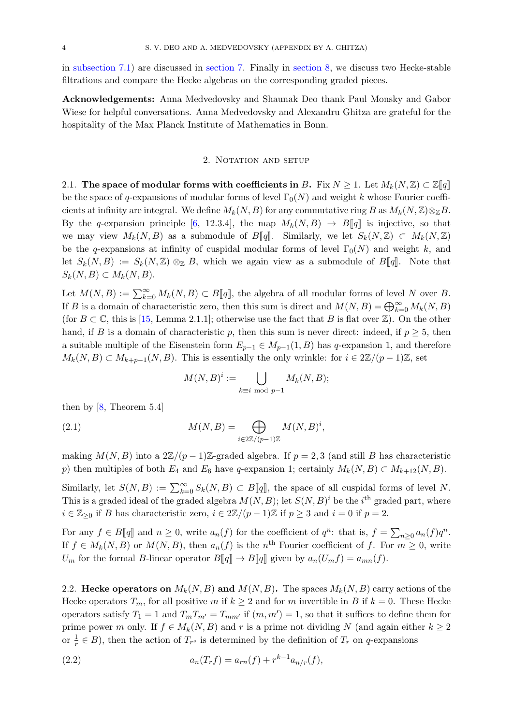in [subsection 7.1\)](#page-14-1) are discussed in [section 7.](#page-14-0) Finally in [section 8,](#page-18-0) we discuss two Hecke-stable filtrations and compare the Hecke algebras on the corresponding graded pieces.

Acknowledgements: Anna Medvedovsky and Shaunak Deo thank Paul Monsky and Gabor Wiese for helpful conversations. Anna Medvedovsky and Alexandru Ghitza are grateful for the hospitality of the Max Planck Institute of Mathematics in Bonn.

## 2. NOTATION AND SETUP

<span id="page-3-1"></span><span id="page-3-0"></span>2.1. The space of modular forms with coefficients in B. Fix  $N \geq 1$ . Let  $M_k(N, \mathbb{Z}) \subset \mathbb{Z}[\![q]\!]$ be the space of q-expansions of modular forms of level  $\Gamma_0(N)$  and weight k whose Fourier coefficients at infinity are integral. We define  $M_k(N, B)$  for any commutative ring B as  $M_k(N, \mathbb{Z}) \otimes_{\mathbb{Z}} B$ . By the q-expansion principle [\[6,](#page-26-3) 12.3.4], the map  $M_k(N, B) \to B[\![q]\!]$  is injective, so that we may view  $M_k(N, B)$  as a submodule of B[q]. Similarly, we let  $S_k(N, \mathbb{Z}) \subset M_k(N, \mathbb{Z})$ be the q-expansions at infinity of cuspidal modular forms of level  $\Gamma_0(N)$  and weight k, and let  $S_k(N, B) := S_k(N, \mathbb{Z}) \otimes_{\mathbb{Z}} B$ , which we again view as a submodule of  $B[\![q]\!]$ . Note that  $S_k(N, B) \subset M_k(N, B).$ 

Let  $M(N, B) := \sum_{k=0}^{\infty} M_k(N, B) \subset B[\![q]\!]$ , the algebra of all modular forms of level N over B. If B is a domain of characteristic zero, then this sum is direct and  $M(N, B) = \bigoplus_{k=0}^{\infty} M_k(N, B)$ (for  $B \subset \mathbb{C}$ , this is [\[15,](#page-27-4) Lemma 2.1.1]; otherwise use the fact that B is flat over  $\mathbb{Z}$ ). On the other hand, if B is a domain of characteristic p, then this sum is never direct: indeed, if  $p \geq 5$ , then a suitable multiple of the Eisenstein form  $E_{p-1} \in M_{p-1}(1, B)$  has q-expansion 1, and therefore  $M_k(N, B) \subset M_{k+p-1}(N, B)$ . This is essentially the only wrinkle: for  $i \in 2\mathbb{Z}/(p-1)\mathbb{Z}$ , set

<span id="page-3-3"></span>
$$
M(N, B)^i := \bigcup_{k \equiv i \bmod p-1} M_k(N, B);
$$

then by [\[8,](#page-26-4) Theorem 5.4]

(2.1) 
$$
M(N, B) = \bigoplus_{i \in 2\mathbb{Z}/(p-1)\mathbb{Z}} M(N, B)^i,
$$

making  $M(N, B)$  into a  $2\mathbb{Z}/(p-1)\mathbb{Z}$ -graded algebra. If  $p = 2, 3$  (and still B has characteristic p) then multiples of both  $E_4$  and  $E_6$  have q-expansion 1; certainly  $M_k(N, B) \subset M_{k+12}(N, B)$ .

Similarly, let  $S(N, B) := \sum_{k=0}^{\infty} S_k(N, B) \subset B[\![q]\!]$ , the space of all cuspidal forms of level N. This is a graded ideal of the graded algebra  $M(N, B)$ ; let  $S(N, B)^i$  be the i<sup>th</sup> graded part, where  $i \in \mathbb{Z}_{\geq 0}$  if B has characteristic zero,  $i \in 2\mathbb{Z}/(p-1)\mathbb{Z}$  if  $p \geq 3$  and  $i = 0$  if  $p = 2$ .

For any  $f \in B[\![q]\!]$  and  $n \geq 0$ , write  $a_n(f)$  for the coefficient of  $q^n$ : that is,  $f = \sum_{n \geq 0} a_n(f)q^n$ . If  $f \in M_k(N, B)$  or  $M(N, B)$ , then  $a_n(f)$  is the n<sup>th</sup> Fourier coefficient of f. For  $m \geq 0$ , write  $U_m$  for the formal B-linear operator  $B\llbracket q \rrbracket \to B\llbracket q \rrbracket$  given by  $a_n(U_m f) = a_{mn}(f)$ .

<span id="page-3-4"></span>2.2. Hecke operators on  $M_k(N, B)$  and  $M(N, B)$ . The spaces  $M_k(N, B)$  carry actions of the Hecke operators  $T_m$ , for all positive m if  $k \geq 2$  and for m invertible in B if  $k = 0$ . These Hecke operators satisfy  $T_1 = 1$  and  $T_m T_{m'} = T_{mm'}$  if  $(m, m') = 1$ , so that it suffices to define them for prime power m only. If  $f \in M_k(N, B)$  and r is a prime not dividing N (and again either  $k \geq 2$ or  $\frac{1}{r} \in B$ ), then the action of  $T_{r^s}$  is determined by the definition of  $T_r$  on q-expansions

<span id="page-3-2"></span>(2.2) 
$$
a_n(T_r f) = a_{rn}(f) + r^{k-1} a_{n/r}(f),
$$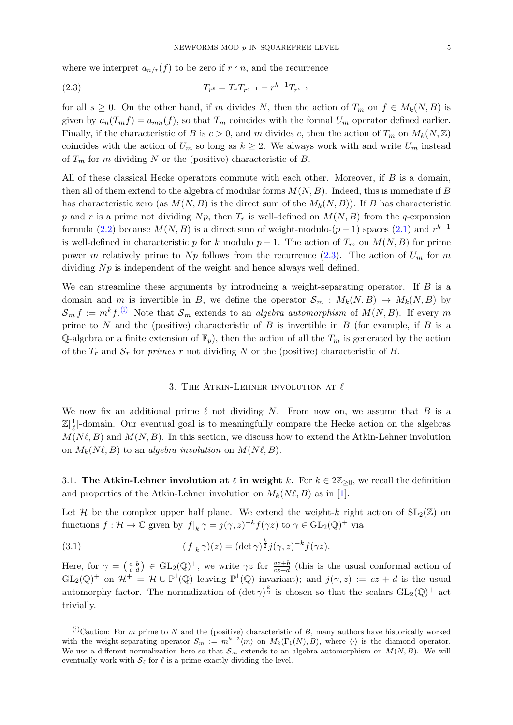where we interpret  $a_{n/r}(f)$  to be zero if  $r \nmid n$ , and the recurrence

<span id="page-4-1"></span>(2.3) 
$$
T_{r^s} = T_r T_{r^{s-1}} - r^{k-1} T_{r^{s-2}}
$$

for all  $s \geq 0$ . On the other hand, if m divides N, then the action of  $T_m$  on  $f \in M_k(N, B)$  is given by  $a_n(T_m f) = a_{mn}(f)$ , so that  $T_m$  coincides with the formal  $U_m$  operator defined earlier. Finally, if the characteristic of B is  $c > 0$ , and m divides c, then the action of  $T_m$  on  $M_k(N, \mathbb{Z})$ coincides with the action of  $U_m$  so long as  $k \geq 2$ . We always work with and write  $U_m$  instead of  $T_m$  for m dividing N or the (positive) characteristic of B.

All of these classical Hecke operators commute with each other. Moreover, if  $B$  is a domain, then all of them extend to the algebra of modular forms  $M(N, B)$ . Indeed, this is immediate if B has characteristic zero (as  $M(N, B)$ ) is the direct sum of the  $M_k(N, B)$ ). If B has characteristic p and r is a prime not dividing  $N_p$ , then  $T_r$  is well-defined on  $M(N, B)$  from the q-expansion formula [\(2.2\)](#page-3-2) because  $M(N, B)$  is a direct sum of weight-modulo-(p – 1) spaces [\(2.1\)](#page-3-3) and  $r^{k-1}$ is well-defined in characteristic p for k modulo  $p-1$ . The action of  $T_m$  on  $M(N, B)$  for prime power m relatively prime to Np follows from the recurrence [\(2.3\)](#page-4-1). The action of  $U_m$  for m dividing  $Np$  is independent of the weight and hence always well defined.

We can streamline these arguments by introducing a weight-separating operator. If  $B$  is a domain and m is invertible in B, we define the operator  $S_m : M_k(N, B) \to M_k(N, B)$  by  $S_m f := m^k f$ .<sup>[\(i\)](#page-4-2)</sup> Note that  $S_m$  extends to an *algebra automorphism* of  $M(N, B)$ . If every m prime to N and the (positive) characteristic of B is invertible in B (for example, if B is a Q-algebra or a finite extension of  $\mathbb{F}_p$ , then the action of all the  $T_m$  is generated by the action of the  $T_r$  and  $S_r$  for primes r not dividing N or the (positive) characteristic of B.

#### 3. THE ATKIN-LEHNER INVOLUTION AT  $\ell$

<span id="page-4-0"></span>We now fix an additional prime  $\ell$  not dividing N. From now on, we assume that B is a  $\mathbb{Z}[\frac{1}{\ell}]$  $\frac{1}{\ell}$ -domain. Our eventual goal is to meaningfully compare the Hecke action on the algebras  $M(N \ell, B)$  and  $M(N, B)$ . In this section, we discuss how to extend the Atkin-Lehner involution on  $M_k(N \ell, B)$  to an algebra involution on  $M(N \ell, B)$ .

<span id="page-4-4"></span>3.1. The Atkin-Lehner involution at  $\ell$  in weight k. For  $k \in 2\mathbb{Z}_{\geq 0}$ , we recall the definition and properties of the Atkin-Lehner involution on  $M_k(N \ell, B)$  as in [\[1\]](#page-26-1).

Let H be the complex upper half plane. We extend the weight-k right action of  $SL_2(\mathbb{Z})$  on functions  $f: \mathcal{H} \to \mathbb{C}$  given by  $f|_k \gamma = j(\gamma, z)^{-k} f(\gamma z)$  to  $\gamma \in GL_2(\mathbb{Q})^+$  via

<span id="page-4-3"></span>(3.1) 
$$
(f|_k \gamma)(z) = (\det \gamma)^{\frac{k}{2}} j(\gamma, z)^{-k} f(\gamma z).
$$

Here, for  $\gamma = \begin{pmatrix} a & b \\ c & d \end{pmatrix} \in GL_2(\mathbb{Q})^+$ , we write  $\gamma z$  for  $\frac{az+b}{cz+d}$  (this is the usual conformal action of  $GL_2(\mathbb{Q})^+$  on  $\mathcal{H}^+ = \mathcal{H} \cup \mathbb{P}^1(\mathbb{Q})$  leaving  $\mathbb{P}^1(\mathbb{Q})$  invariant); and  $j(\gamma, z) := cz + d$  is the usual automorphy factor. The normalization of  $(\det \gamma)^{\frac{k}{2}}$  is chosen so that the scalars  $GL_2(\mathbb{Q})^+$  act trivially.

<span id="page-4-2"></span> $(i)$ Caution: For m prime to N and the (positive) characteristic of B, many authors have historically worked with the weight-separating operator  $S_m := m^{k-2}\langle m \rangle$  on  $M_k(\Gamma_1(N), B)$ , where  $\langle \cdot \rangle$  is the diamond operator. We use a different normalization here so that  $\mathcal{S}_m$  extends to an algebra automorphism on  $M(N, B)$ . We will eventually work with  $\mathcal{S}_{\ell}$  for  $\ell$  is a prime exactly dividing the level.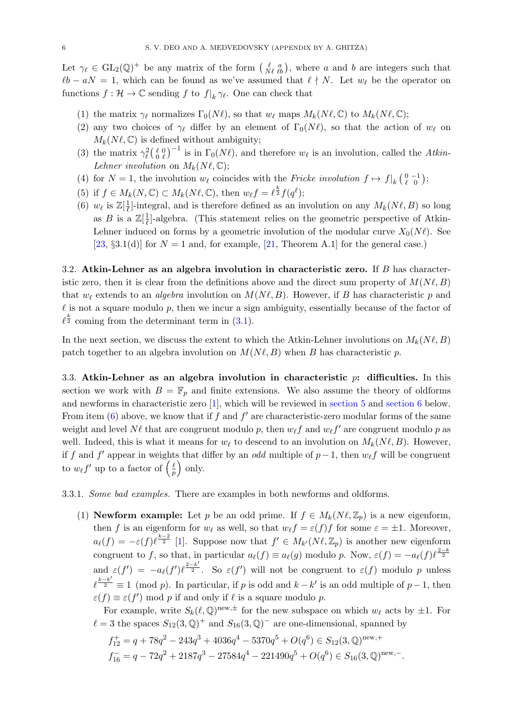Let  $\gamma_{\ell} \in GL_2(\mathbb{Q})^+$  be any matrix of the form  $\begin{pmatrix} \ell & a \\ N_{\ell} & \ell_{b} \end{pmatrix}$ , where a and b are integers such that  $\ell b - aN = 1$ , which can be found as we've assumed that  $\ell \nmid N$ . Let  $w_{\ell}$  be the operator on functions  $f: \mathcal{H} \to \mathbb{C}$  sending f to  $f|_k \gamma_{\ell}$ . One can check that

- (1) the matrix  $\gamma_{\ell}$  normalizes  $\Gamma_0(N \ell)$ , so that  $w_{\ell}$  maps  $M_k(N \ell, \mathbb{C})$  to  $M_k(N \ell, \mathbb{C});$
- (2) any two choices of  $\gamma_{\ell}$  differ by an element of  $\Gamma_0(N_{\ell})$ , so that the action of  $w_{\ell}$  on  $M_k(N\ell, \mathbb{C})$  is defined without ambiguity;
- (3) the matrix  $\gamma_{\ell}^2\left(\begin{array}{c} \ell \ 0 \end{array}\right)^{-1}$  is in  $\Gamma_0(N\ell)$ , and therefore  $w_{\ell}$  is an involution, called the Atkin-Lehner involution on  $M_k(N\ell, \mathbb{C});$
- (4) for  $N = 1$ , the involution  $w_{\ell}$  coincides with the Fricke involution  $f \mapsto f|_{k} \begin{pmatrix} 0 & -1 \\ \ell & 0 \end{pmatrix}$ ;
- <span id="page-5-1"></span>(5) if  $f \in M_k(N, \mathbb{C}) \subset M_k(N\ell, \mathbb{C})$ , then  $w_{\ell} f = \ell^{\frac{k}{2}} f(q^{\ell});$
- <span id="page-5-0"></span>(6)  $w_{\ell}$  is  $\mathbb{Z}[\frac{1}{\ell}]$  $\frac{1}{\ell}$ -integral, and is therefore defined as an involution on any  $M_k(N \ell, B)$  so long as B is a  $\mathbb{Z}[\frac{1}{\ell}]$  $\frac{1}{\ell}$ -algebra. (This statement relies on the geometric perspective of Atkin-Lehner induced on forms by a geometric involution of the modular curve  $X_0(N\ell)$ . See [\[23,](#page-27-2) §3.1(d)] for  $N = 1$  and, for example, [\[21,](#page-27-5) Theorem A.1] for the general case.)

3.2. Atkin-Lehner as an algebra involution in characteristic zero. If B has characteristic zero, then it is clear from the definitions above and the direct sum property of  $M(N\ell, B)$ that  $w_{\ell}$  extends to an *algebra* involution on  $M(N \ell, B)$ . However, if B has characteristic p and  $\ell$  is not a square modulo p, then we incur a sign ambiguity, essentially because of the factor of  $\ell^{\frac{k}{2}}$  coming from the determinant term in [\(3.1\)](#page-4-3).

In the next section, we discuss the extent to which the Atkin-Lehner involutions on  $M_k(N \ell, B)$ patch together to an algebra involution on  $M(N\ell, B)$  when B has characteristic p.

3.3. Atkin-Lehner as an algebra involution in characteristic  $p$ : difficulties. In this section we work with  $B = \mathbb{F}_p$  and finite extensions. We also assume the theory of oldforms and newforms in characteristic zero [\[1\]](#page-26-1), which will be reviewed in [section 5](#page-8-1) and [section 6](#page-10-0) below. From item  $(6)$  above, we know that if f and  $f'$  are characteristic-zero modular forms of the same weight and level  $N\ell$  that are congruent modulo p, then  $w_{\ell}f$  and  $w_{\ell}f'$  are congruent modulo p as well. Indeed, this is what it means for  $w_{\ell}$  to descend to an involution on  $M_k(N \ell, B)$ . However, if f and f' appear in weights that differ by an *odd* multiple of  $p-1$ , then  $w_{\ell}f$  will be congruent to  $w_{\ell}f'$  up to a factor of  $\left(\frac{\ell}{n}\right)$  $\frac{\ell}{p}$  only.

- 3.3.1. Some bad examples. There are examples in both newforms and oldforms.
	- (1) **Newform example:** Let p be an odd prime. If  $f \in M_k(N\ell, \mathbb{Z}_p)$  is a new eigenform, then f is an eigenform for  $w_{\ell}$  as well, so that  $w_{\ell} f = \varepsilon(f)f$  for some  $\varepsilon = \pm 1$ . Moreover,  $a_{\ell}(f) = -\varepsilon(f)\ell^{\frac{k-2}{2}}$  [\[1\]](#page-26-1). Suppose now that  $f' \in M_{k'}(N\ell, \mathbb{Z}_p)$  is another new eigenform congruent to f, so that, in particular  $a_{\ell}(f) \equiv a_{\ell}(g)$  modulo p. Now,  $\varepsilon(f) = -a_{\ell}(f)\ell^{\frac{2-k}{2}}$ and  $\varepsilon(f') = -a_{\ell}(f')\ell^{\frac{2-k'}{2}}$ . So  $\varepsilon(f')$  will not be congruent to  $\varepsilon(f)$  modulo p unless  $\ell^{\frac{k-k'}{2}} \equiv 1 \pmod{p}$ . In particular, if p is odd and  $k - k'$  is an odd multiple of  $p - 1$ , then  $\varepsilon(f) \equiv \varepsilon(f') \mod p$  if and only if  $\ell$  is a square modulo p.

For example, write  $S_k(\ell, \mathbb{Q})^{\text{new},\pm}$  for the new subspace on which  $w_\ell$  acts by  $\pm 1$ . For  $\ell = 3$  the spaces  $S_{12}(3, \mathbb{Q})^+$  and  $S_{16}(3, \mathbb{Q})^-$  are one-dimensional, spanned by

$$
f_{12}^{+} = q + 78q^{2} - 243q^{3} + 4036q^{4} - 5370q^{5} + O(q^{6}) \in S_{12}(3, \mathbb{Q})^{\text{new},+}
$$
  

$$
f_{16}^{-} = q - 72q^{2} + 2187q^{3} - 27584q^{4} - 221490q^{5} + O(q^{6}) \in S_{16}(3, \mathbb{Q})^{\text{new},-}.
$$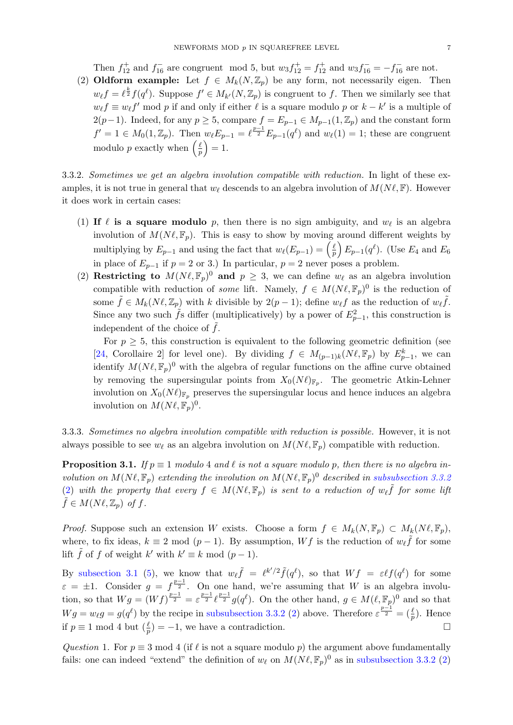Then  $f_{12}^+$  and  $f_{16}^-$  are congruent mod 5, but  $w_3 f_{12}^+ = f_{12}^+$  and  $w_3 f_{16}^- = -f_{16}^-$  are not.

(2) Oldform example: Let  $f \in M_k(N, \mathbb{Z}_p)$  be any form, not necessarily eigen. Then  $w_{\ell}f = \ell^{\frac{k}{2}}f(q^{\ell}).$  Suppose  $f' \in M_{k'}(N, \mathbb{Z}_p)$  is congruent to f. Then we similarly see that  $w_{\ell} f \equiv w_{\ell} f'$  mod p if and only if either  $\ell$  is a square modulo p or  $k - k'$  is a multiple of  $2(p-1)$ . Indeed, for any  $p \ge 5$ , compare  $f = E_{p-1} \in M_{p-1}(1, \mathbb{Z}_p)$  and the constant form  $f' = 1 \in M_0(1, \mathbb{Z}_p)$ . Then  $w_{\ell} E_{p-1} = \ell^{\frac{p-1}{2}} E_{p-1}(q^{\ell})$  and  $w_{\ell}(1) = 1$ ; these are congruent modulo p exactly when  $\left(\frac{\ell}{r}\right)$  $\frac{\ell}{p}$  = 1.

<span id="page-6-0"></span>3.3.2. Sometimes we get an algebra involution compatible with reduction. In light of these examples, it is not true in general that  $w_\ell$  descends to an algebra involution of  $M(N \ell, \mathbb{F})$ . However it does work in certain cases:

- (1) If  $\ell$  is a square modulo p, then there is no sign ambiguity, and  $w_{\ell}$  is an algebra involution of  $M(N\ell, \mathbb{F}_p)$ . This is easy to show by moving around different weights by multiplying by  $E_{p-1}$  and using the fact that  $w_{\ell}(E_{p-1}) = \left(\frac{\ell}{n}\right)$  $\frac{\ell}{p}$   $\Big) E_{p-1}(q^{\ell}).$  (Use  $E_4$  and  $E_6$ in place of  $E_{p-1}$  if  $p = 2$  or 3.) In particular,  $p = 2$  never poses a problem.
- <span id="page-6-1"></span>(2) Restricting to  $M(N\ell, \mathbb{F}_p)^0$  and  $p \geq 3$ , we can define  $w_{\ell}$  as an algebra involution compatible with reduction of *some* lift. Namely,  $f \in M(N\ell, \mathbb{F}_p)^0$  is the reduction of some  $\tilde{f} \in M_k(N\ell, \mathbb{Z}_p)$  with k divisible by  $2(p-1)$ ; define  $w_{\ell} f$  as the reduction of  $w_{\ell} \tilde{f}$ . Since any two such  $\tilde{f}$ s differ (multiplicatively) by a power of  $E_{p-1}^2$ , this construction is independent of the choice of  $\tilde{f}$ .

For  $p \geq 5$ , this construction is equivalent to the following geometric definition (see [\[24,](#page-27-6) Corollaire 2] for level one). By dividing  $f \in M_{(p-1)k}(N\ell, \mathbb{F}_p)$  by  $E_{p-1}^k$ , we can identify  $M(N\ell, \mathbb{F}_p)^0$  with the algebra of regular functions on the affine curve obtained by removing the supersingular points from  $X_0(N\ell)_{\mathbb{F}_p}$ . The geometric Atkin-Lehner involution on  $X_0(N\ell)_{\mathbb{F}_p}$  preserves the supersingular locus and hence induces an algebra involution on  $M(N\ell, \mathbb{F}_p)^0$ .

3.3.3. Sometimes no algebra involution compatible with reduction is possible. However, it is not always possible to see  $w_{\ell}$  as an algebra involution on  $M(N \ell, \mathbb{F}_p)$  compatible with reduction.

**Proposition 3.1.** If  $p \equiv 1$  modulo 4 and  $\ell$  is not a square modulo p, then there is no algebra involution on  $M(N\ell, \mathbb{F}_p)$  extending the involution on  $M(N\ell, \mathbb{F}_p)^0$  described in [subsubsection 3.3.2](#page-6-0) [\(2\)](#page-6-1) with the property that every  $f \in M(N\ell, \mathbb{F}_p)$  is sent to a reduction of  $w_{\ell} \tilde{f}$  for some lift  $\tilde{f} \in M(N\ell, \mathbb{Z}_p)$  of f.

*Proof.* Suppose such an extension W exists. Choose a form  $f \in M_k(N, \mathbb{F}_p) \subset M_k(N\ell, \mathbb{F}_p)$ , where, to fix ideas,  $k \equiv 2 \mod (p-1)$ . By assumption,  $Wf$  is the reduction of  $w_{\ell} \tilde{f}$  for some lift  $\tilde{f}$  of f of weight k' with  $k' \equiv k \mod (p-1)$ .

By [subsection 3.1](#page-4-4) [\(5\)](#page-5-1), we know that  $w_{\ell} \tilde{f} = \ell^{k'/2} \tilde{f}(q^{\ell})$ , so that  $W f = \varepsilon \ell f(q^{\ell})$  for some  $\varepsilon = \pm 1$ . Consider  $g = f^{\frac{p-1}{2}}$ . On one hand, we're assuming that W is an algebra involution, so that  $Wg = (Wf)^{\frac{p-1}{2}} = \varepsilon^{\frac{p-1}{2}} \ell^{\frac{p-1}{2}} g(q^{\ell}).$  On the other hand,  $g \in M(\ell, \mathbb{F}_p)^0$  and so that  $Wg = w_{\ell}g = g(q^{\ell})$  by the recipe in [subsubsection 3.3.2](#page-6-0) [\(2\)](#page-6-1) above. Therefore  $\varepsilon^{\frac{p-1}{2}} = (\frac{\ell}{p})$ . Hence if  $p \equiv 1 \mod 4$  but  $\left(\frac{\ell}{p}\right) = -1$ , we have a contradiction. □

Question 1. For  $p \equiv 3 \mod 4$  (if  $\ell$  is not a square modulo p) the argument above fundamentally fails: one can indeed "extend" the definition of  $w_{\ell}$  on  $M(N\ell, \mathbb{F}_p)^0$  as in [subsubsection 3.3.2](#page-6-0) [\(2\)](#page-6-1)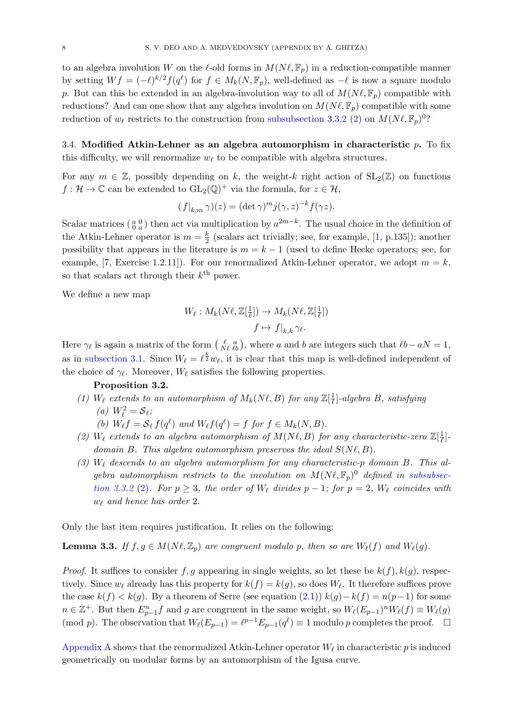to an algebra involution W on the  $\ell$ -old forms in  $M(N\ell, \mathbb{F}_p)$  in a reduction-compatible manner by setting  $Wf = (-\ell)^{k/2} f(q^{\ell})$  for  $f \in M_k(N, \mathbb{F}_p)$ , well-defined as  $-\ell$  is now a square modulo p. But can this be extended in an algebra-involution way to all of  $M(N\ell, \mathbb{F}_p)$  compatible with reductions? And can one show that any algebra involution on  $M(N\ell, \mathbb{F}_p)$  compatible with some reduction of  $w_{\ell}$  restricts to the construction from [subsubsection 3.3.2](#page-6-0) [\(2\)](#page-6-1) on  $M(N\ell, \mathbb{F}_p)^0$ ?

<span id="page-7-0"></span>3.4. Modified Atkin-Lehner as an algebra automorphism in characteristic  $p$ . To fix this difficulty, we will renormalize  $w_{\ell}$  to be compatible with algebra structures.

For any  $m \in \mathbb{Z}$ , possibly depending on k, the weight-k right action of  $SL_2(\mathbb{Z})$  on functions  $f: \mathcal{H} \to \mathbb{C}$  can be extended to  $GL_2(\mathbb{Q})^+$  via the formula, for  $z \in \mathcal{H}$ ,

$$
(f|_{k,m}\gamma)(z) = (\det \gamma)^m j(\gamma, z)^{-k} f(\gamma z).
$$

Scalar matrices  $\begin{pmatrix} a & 0 \\ 0 & a \end{pmatrix}$  then act via multiplication by  $a^{2m-k}$ . The usual choice in the definition of the Atkin-Lehner operator is  $m = \frac{k}{2}$  $\frac{k}{2}$  (scalars act trivially; see, for example, [\[1,](#page-26-1) p.135]); another possibility that appears in the literature is  $m = k - 1$  (used to define Hecke operators; see, for example, [\[7,](#page-26-5) Exercise 1.2.11]). For our renormalized Atkin-Lehner operator, we adopt  $m = k$ , so that scalars act through their  $k^{\text{th}}$  power.

We define a new map

$$
W_{\ell}: M_k(N\ell, \mathbb{Z}[\frac{1}{\ell}]) \to M_k(N\ell, \mathbb{Z}[\frac{1}{\ell}])
$$

$$
f \mapsto f|_{k,k} \gamma_{\ell}.
$$

Here  $\gamma_{\ell}$  is again a matrix of the form  $\begin{pmatrix} \ell & a \\ N_{\ell} & \ell b \end{pmatrix}$ , where a and b are integers such that  $\ell b - aN = 1$ , as in [subsection 3.1.](#page-4-4) Since  $W_{\ell} = \ell^{\frac{k}{2}} w_{\ell}$ , it is clear that this map is well-defined independent of the choice of  $\gamma_{\ell}$ . Moreover,  $W_{\ell}$  satisfies the following properties.

## Proposition 3.2.

<span id="page-7-2"></span><span id="page-7-1"></span>(1) We extends to an automorphism of  $M_k(N\ell, B)$  for any  $\mathbb{Z}[\frac{1}{\ell}]$  $\frac{1}{\ell}$ ]-algebra B, satisfying (a)  $W_{\ell}^2 = \mathcal{S}_{\ell};$ 

(b) 
$$
W_{\ell}f = \mathcal{S}_{\ell} f(q^{\ell})
$$
 and  $W_{\ell}f(q^{\ell}) = f$  for  $f \in M_k(N, B)$ .

- <span id="page-7-3"></span>(2)  $W_{\ell}$  extends to an algebra automorphism of  $M(N\ell, B)$  for any characteristic-zero  $\mathbb{Z}[\frac{1}{\ell}]$  $\frac{1}{\ell}$ ]domain B. This algebra automorphism preserves the ideal  $S(N\ell, B)$ .
- (3)  $W_{\ell}$  descends to an algebra automorphism for any characteristic-p domain B. This algebra automorphism restricts to the involution on  $M(N\ell, \mathbb{F}_p)^0$  defined in [subsubsec](#page-6-0)[tion 3.3.2](#page-6-0) [\(2\)](#page-6-1). For  $p \geq 3$ , the order of  $W_{\ell}$  divides  $p - 1$ ; for  $p = 2$ ,  $W_{\ell}$  coincides with  $w_{\ell}$  and hence has order 2.

Only the last item requires justification. It relies on the following:

**Lemma 3.3.** If  $f, g \in M(N\ell, \mathbb{Z}_p)$  are congruent modulo p, then so are  $W_{\ell}(f)$  and  $W_{\ell}(g)$ .

*Proof.* It suffices to consider f, g appearing in single weights, so let these be  $k(f)$ ,  $k(g)$ , respectively. Since  $w_{\ell}$  already has this property for  $k(f) = k(g)$ , so does  $W_{\ell}$ . It therefore suffices prove the case  $k(f) < k(g)$ . By a theorem of Serre (see equation  $(2.1)$ )  $k(g) - k(f) = n(p-1)$  for some  $n \in \mathbb{Z}^+$ . But then  $E_{p-1}^n f$  and g are congruent in the same weight, so  $W_\ell(E_{p-1})^n W_\ell(f) \equiv W_\ell(g)$ (mod p). The observation that  $W_{\ell}(E_{p-1}) = \ell^{p-1}E_{p-1}(q^{\ell}) \equiv 1$  modulo p completes the proof.  $\Box$ 

[Appendix A](#page-22-0) shows that the renormalized Atkin-Lehner operator  $W_{\ell}$  in characteristic p is induced geometrically on modular forms by an automorphism of the Igusa curve.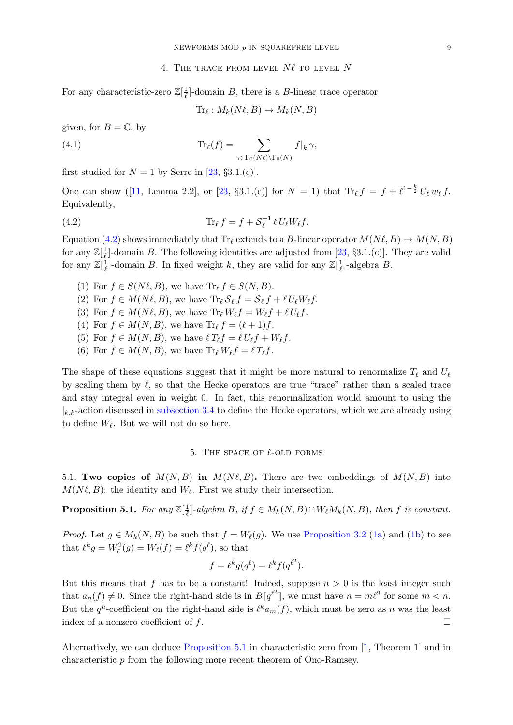#### 4. THE TRACE FROM LEVEL  $N\ell$  to level N

<span id="page-8-0"></span>For any characteristic-zero  $\mathbb{Z}[\frac{1}{\ell}]$  $\frac{1}{\ell}$ -domain B, there is a B-linear trace operator

<span id="page-8-2"></span>
$$
\text{Tr}_{\ell}: M_k(N\ell, B) \to M_k(N, B)
$$

given, for  $B = \mathbb{C}$ , by

(4.1) 
$$
\operatorname{Tr}_{\ell}(f) = \sum_{\gamma \in \Gamma_0(N\ell) \backslash \Gamma_0(N)} f|_k \gamma,
$$

first studied for  $N = 1$  by Serre in [\[23,](#page-27-2) §3.1.(c)].

Onecan show ([\[11,](#page-26-6) Lemma 2.2], or [\[23,](#page-27-2) §3.1.(c)] for  $N = 1$ ) that  $\text{Tr}_{\ell} f = f + \ell^{1-\frac{k}{2}} U_{\ell} w_{\ell} f$ . Equivalently,

(4.2) 
$$
\operatorname{Tr}_{\ell} f = f + \mathcal{S}_{\ell}^{-1} \ell U_{\ell} W_{\ell} f.
$$

Equation [\(4.2\)](#page-8-2) shows immediately that  $\text{Tr}_{\ell}$  extends to a B-linear operator  $M(N \ell, B) \to M(N, B)$ for any  $\mathbb{Z}[\frac{1}{\ell}]$  $\frac{1}{\ell}$ -domain B. The following identities are adjusted from [\[23,](#page-27-2) §3.1.(c)]. They are valid for any  $\mathbb{Z}[\frac{1}{\ell}]$  $\frac{1}{\ell}$ -domain B. In fixed weight k, they are valid for any  $\mathbb{Z}[\frac{1}{\ell}]$  $\frac{1}{\ell}$ -algebra B.

- (1) For  $f \in S(N\ell, B)$ , we have  $\text{Tr}_\ell f \in S(N, B)$ .
- (2) For  $f \in M(N\ell, B)$ , we have  $\text{Tr}_{\ell} S_{\ell} f = S_{\ell} f + \ell U_{\ell} W_{\ell} f$ .
- (3) For  $f \in M(N\ell, B)$ , we have  $\text{Tr}_{\ell} W_{\ell} f = W_{\ell} f + \ell U_{\ell} f$ .
- (4) For  $f \in M(N, B)$ , we have  $\text{Tr}_f f = (\ell + 1)f$ .
- (5) For  $f \in M(N, B)$ , we have  $\ell T_{\ell} f = \ell U_{\ell} f + W_{\ell} f$ .
- (6) For  $f \in M(N, B)$ , we have  $\text{Tr}_{\ell} W_{\ell} f = \ell T_{\ell} f$ .

The shape of these equations suggest that it might be more natural to renormalize  $T_\ell$  and  $U_\ell$ by scaling them by  $\ell$ , so that the Hecke operators are true "trace" rather than a scaled trace and stay integral even in weight 0. In fact, this renormalization would amount to using the  $|k_k|$ -action discussed in [subsection 3.4](#page-7-0) to define the Hecke operators, which we are already using to define  $W_{\ell}$ . But we will not do so here.

## 5. THE SPACE OF  $\ell$ -OLD FORMS

<span id="page-8-1"></span>5.1. Two copies of  $M(N, B)$  in  $M(N, B)$ . There are two embeddings of  $M(N, B)$  into  $M(N\ell, B)$ : the identity and  $W_{\ell}$ . First we study their intersection.

<span id="page-8-3"></span>**Proposition 5.1.** For any  $\mathbb{Z}[\frac{1}{\ell}]$  $\frac{1}{\ell}$ ]-algebra B, if  $f \in M_k(N, B) \cap W_{\ell}M_k(N, B)$ , then f is constant.

*Proof.* Let  $g \in M_k(N, B)$  be such that  $f = W_\ell(q)$ . We use [Proposition 3.2](#page-7-1) [\(1a\)](#page-7-2) and [\(1b\)](#page-7-3) to see that  $\ell^k g = W_\ell^2(g) = W_\ell(f) = \ell^k f(q^\ell)$ , so that

$$
f = \ell^k g(q^{\ell}) = \ell^k f(q^{\ell^2}).
$$

But this means that f has to be a constant! Indeed, suppose  $n > 0$  is the least integer such that  $a_n(f) \neq 0$ . Since the right-hand side is in  $B[\![q^{\ell^2}]\!]$ , we must have  $n = m\ell^2$  for some  $m < n$ . But the  $q^n$ -coefficient on the right-hand side is  $\ell^k a_m(f)$ , which must be zero as n was the least index of a nonzero coefficient of f.  $\Box$ 

Alternatively, we can deduce [Proposition 5.1](#page-8-3) in characteristic zero from [\[1,](#page-26-1) Theorem 1] and in characteristic p from the following more recent theorem of Ono-Ramsey.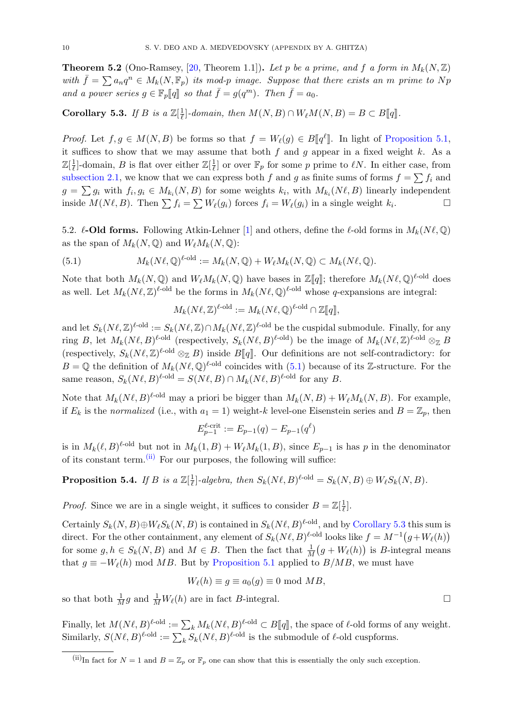**Theorem 5.2** (Ono-Ramsey, [\[20,](#page-27-7) Theorem 1.1]). Let p be a prime, and f a form in  $M_k(N, \mathbb{Z})$ with  $\bar{f} = \sum a_n q^n \in M_k(N, \mathbb{F}_p)$  its mod-p image. Suppose that there exists an m prime to Np and a power series  $g \in \mathbb{F}_p[\![q]\!]$  so that  $\bar{f} = g(q^m)$ . Then  $\bar{f} = a_0$ .

<span id="page-9-2"></span>Corollary 5.3. If B is a  $\mathbb{Z}[\frac{1}{\ell}]$  $\frac{1}{\ell}$ -domain, then  $M(N, B) \cap W_{\ell}M(N, B) = B \subset B[\![q]\!].$ 

*Proof.* Let  $f, g \in M(N, B)$  be forms so that  $f = W_{\ell}(g) \in B[\![q^{\ell}]\!]$ . In light of [Proposition 5.1,](#page-8-3) it suffices to show that we may assume that both  $f$  and  $g$  appear in a fixed weight  $k$ . As a  $\mathbb{Z}[\frac{1}{\ell}]$  $\frac{1}{\ell}$ -domain, B is flat over either  $\mathbb{Z}[\frac{1}{\ell}]$  $\frac{1}{\ell}$  or over  $\mathbb{F}_p$  for some p prime to  $\ell N$ . In either case, from [subsection 2.1,](#page-3-1) we know that we can express both f and g as finite sums of forms  $f = \sum f_i$  and  $g = \sum g_i$  with  $f_i, g_i \in M_{k_i}(N, B)$  for some weights  $k_i$ , with  $M_{k_i}(N\ell, B)$  linearly independent inside  $M(N\ell, B)$ . Then  $\sum f_i = \sum W_\ell(g_i)$  forces  $f_i = W_\ell(g_i)$  in a single weight  $k_i$ .

5.2.  $\ell$ -Old forms. Following Atkin-Lehner [\[1\]](#page-26-1) and others, define the  $\ell$ -old forms in  $M_k(N \ell, \mathbb{Q})$ as the span of  $M_k(N, \mathbb{Q})$  and  $W_\ell M_k(N, \mathbb{Q})$ :

(5.1) 
$$
M_k(N\ell,\mathbb{Q})^{\ell\text{-old}} := M_k(N,\mathbb{Q}) + W_\ell M_k(N,\mathbb{Q}) \subset M_k(N\ell,\mathbb{Q}).
$$

Note that both  $M_k(N, \mathbb{Q})$  and  $W_\ell M_k(N, \mathbb{Q})$  have bases in  $\mathbb{Z}[\![q]\!]$ ; therefore  $M_k(N\ell, \mathbb{Q})^{\ell-\text{old}}$  does as well. Let  $M_k(N\ell, \mathbb{Z})^{\ell-\text{old}}$  be the forms in  $M_k(N\ell, \mathbb{Q})^{\ell-\text{old}}$  whose q-expansions are integral:

<span id="page-9-0"></span>
$$
M_k(N\ell,\mathbb{Z})^{\ell\text{-old}} := M_k(N\ell,\mathbb{Q})^{\ell\text{-old}} \cap \mathbb{Z}[\![q]\!],
$$

and let  $S_k(N\ell, \mathbb{Z})^{\ell-\text{old}} := S_k(N\ell, \mathbb{Z}) \cap M_k(N\ell, \mathbb{Z})^{\ell-\text{old}}$  be the cuspidal submodule. Finally, for any ring B, let  $M_k(N\ell, B)^{\ell-\text{old}}$  (respectively,  $S_k(N\ell, B)^{\ell-\text{old}}$ ) be the image of  $M_k(N\ell, \mathbb{Z})^{\ell-\text{old}} \otimes_{\mathbb{Z}} B$ (respectively,  $S_k(N\ell, \mathbb{Z})^{\ell \text{-old}} \otimes_{\mathbb{Z}} B$ ) inside  $B[\![q]\!]$ . Our definitions are not self-contradictory: for  $B = \mathbb{Q}$  the definition of  $M_k(N\ell, \mathbb{Q})^{\ell-\text{old}}$  coincides with [\(5.1\)](#page-9-0) because of its Z-structure. For the same reason,  $S_k(N\ell, B)^{\ell \text{-old}} = S(N\ell, B) \cap M_k(N\ell, B)^{\ell \text{-old}}$  for any B.

Note that  $M_k(N\ell, B)^{\ell-\text{old}}$  may a priori be bigger than  $M_k(N, B) + W_\ell M_k(N, B)$ . For example, if  $E_k$  is the normalized (i.e., with  $a_1 = 1$ ) weight-k level-one Eisenstein series and  $B = \mathbb{Z}_p$ , then

$$
E_{p-1}^{\ell\text{-crit}} := E_{p-1}(q) - E_{p-1}(q^{\ell})
$$

is in  $M_k(\ell, B)^{\ell-\text{old}}$  but not in  $M_k(1, B) + W_{\ell}M_k(1, B)$ , since  $E_{p-1}$  is has p in the denominator of its constant term. $^{(ii)}$  $^{(ii)}$  $^{(ii)}$  For our purposes, the following will suffice:

**Proposition 5.4.** If B is a  $\mathbb{Z}[\frac{1}{\ell}]$  $\frac{1}{\ell}$ -algebra, then  $S_k(N\ell, B)^{\ell \text{-old}} = S_k(N, B) \oplus W_\ell S_k(N, B).$ 

*Proof.* Since we are in a single weight, it suffices to consider  $B = \mathbb{Z}[\frac{1}{\ell}]$  $\frac{1}{\ell}$ .

Certainly  $S_k(N, B) \oplus W_\ell S_k(N, B)$  is contained in  $S_k(N\ell, B)^{\ell-\text{old}}$ , and by [Corollary 5.3](#page-9-2) this sum is direct. For the other containment, any element of  $S_k(N\ell, B)^{\ell-\text{old}}$  looks like  $f = M^{-1}(g + W_{\ell}(h))$ for some  $g, h \in S_k(N, B)$  and  $M \in B$ . Then the fact that  $\frac{1}{M}(g + W_{\ell}(h))$  is B-integral means that  $g \equiv -W_{\ell}(h)$  mod MB. But by [Proposition 5.1](#page-8-3) applied to  $B/MB$ , we must have

$$
W_{\ell}(h) \equiv g \equiv a_0(g) \equiv 0 \text{ mod } MB,
$$

so that both  $\frac{1}{M}g$  and  $\frac{1}{M}W_{\ell}(h)$  are in fact B-integral.

Finally, let  $M(N\ell, B)^{\ell \text{-old}} := \sum_k M_k(N\ell, B)^{\ell \text{-old}} \subset B[\![q]\!]$ , the space of  $\ell$ -old forms of any weight. Similarly,  $S(N\ell, B)^{\ell-\text{old}} := \sum_k S_k(N\ell, B)^{\ell-\text{old}}$  is the submodule of  $\ell$ -old cuspforms.

<span id="page-9-1"></span><sup>(</sup>ii)In fact for  $N = 1$  and  $B = \mathbb{Z}_p$  or  $\mathbb{F}_p$  one can show that this is essentially the only such exception.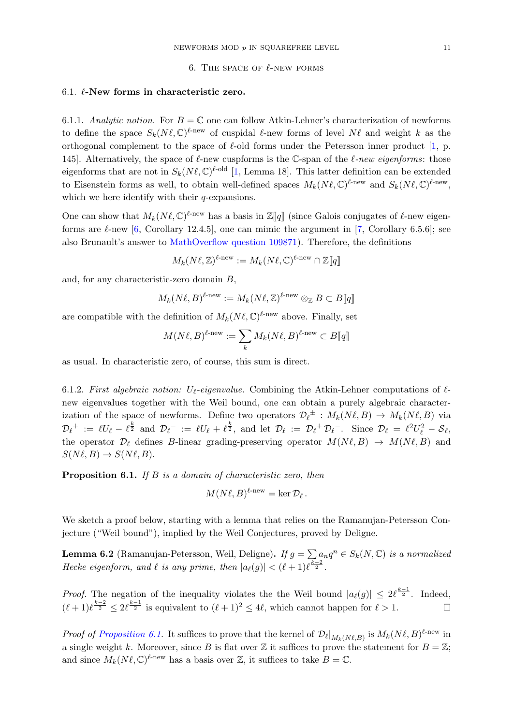#### 6. THE SPACE OF  $\ell$ -NEW FORMS

## <span id="page-10-0"></span>6.1.  $\ell$ -New forms in characteristic zero.

6.1.1. Analytic notion. For  $B = \mathbb{C}$  one can follow Atkin-Lehner's characterization of newforms to define the space  $S_k(N\ell, \mathbb{C})^{\ell \text{-new}}$  of cuspidal  $\ell \text{-new}$  forms of level  $N\ell$  and weight k as the orthogonal complement to the space of  $\ell$ -old forms under the Petersson inner product [\[1,](#page-26-1) p. 145]. Alternatively, the space of  $\ell$ -new cuspforms is the  $\mathbb{C}$ -span of the  $\ell$ -new eigenforms: those eigenforms that are not in  $S_k(N\ell, \mathbb{C})^{\ell-\text{old}}$  [\[1,](#page-26-1) Lemma 18]. This latter definition can be extended to Eisenstein forms as well, to obtain well-defined spaces  $M_k(N\ell,\mathbb{C})^{\ell-\text{new}}$  and  $S_k(N\ell,\mathbb{C})^{\ell-\text{new}}$ , which we here identify with their  $q$ -expansions.

One can show that  $M_k(N\ell,\mathbb{C})^{\ell-\text{new}}$  has a basis in  $\mathbb{Z}[\![q]\!]$  (since Galois conjugates of  $\ell-\text{new}$  eigenforms are  $\ell$ -new [\[6,](#page-26-3) Corollary 12.4.5], one can mimic the argument in [\[7,](#page-26-5) Corollary 6.5.6]; see also Brunault's answer to [MathOverflow question 109871\)](https://mathoverflow.net/questions/109871/integral-basis-for-newforms). Therefore, the definitions

$$
M_k(N\ell,\mathbb{Z})^{\ell-\text{new}} := M_k(N\ell,\mathbb{C})^{\ell-\text{new}} \cap \mathbb{Z}[\![q]\!]
$$

and, for any characteristic-zero domain B,

$$
M_k(N\ell, B)^{\ell-\text{new}} := M_k(N\ell, \mathbb{Z})^{\ell-\text{new}} \otimes_{\mathbb{Z}} B \subset B[\![q]\!]
$$

are compatible with the definition of  $M_k(N\ell, \mathbb{C})^{\ell \text{-new}}$  above. Finally, set

$$
M(N\ell,B)^{\ell\text{-new}}:=\sum_k M_k(N\ell,B)^{\ell\text{-new}}\subset B[\![q]\!]
$$

as usual. In characteristic zero, of course, this sum is direct.

6.1.2. First algebraic notion:  $U_{\ell}$ -eigenvalue. Combining the Atkin-Lehner computations of  $\ell$ new eigenvalues together with the Weil bound, one can obtain a purely algebraic characterization of the space of newforms. Define two operators  $\mathcal{D}_\ell^{\pm} : M_k(N \ell, B) \to M_k(N \ell, B)$  via  $\mathcal{D}_\ell^+ := \ell U_\ell - \ell^{\frac{k}{2}}$  and  $\mathcal{D}_\ell^- := \ell U_\ell + \ell^{\frac{k}{2}}$ , and let  $\mathcal{D}_\ell := \mathcal{D}_\ell^+ \mathcal{D}_\ell^-$ . Since  $\mathcal{D}_\ell = \ell^2 U_\ell^2 - \mathcal{S}_\ell$ , the operator  $\mathcal{D}_\ell$  defines B-linear grading-preserving operator  $M(N \ell, B) \to M(N \ell, B)$  and  $S(N\ell, B) \to S(N\ell, B).$ 

<span id="page-10-1"></span>**Proposition 6.1.** If  $B$  is a domain of characteristic zero, then

$$
M(N\ell, B)^{\ell\text{-new}} = \ker \mathcal{D}_{\ell}.
$$

We sketch a proof below, starting with a lemma that relies on the Ramanujan-Petersson Conjecture ("Weil bound"), implied by the Weil Conjectures, proved by Deligne.

<span id="page-10-2"></span>**Lemma 6.2** (Ramanujan-Petersson, Weil, Deligne). If  $g = \sum a_n q^n \in S_k(N, \mathbb{C})$  is a normalized Hecke eigenform, and  $\ell$  is any prime, then  $|a_{\ell}(g)| < (\ell + 1)\ell^{\frac{k-2}{2}}$ .

*Proof.* The negation of the inequality violates the the Weil bound  $|a_{\ell}(g)| \leq 2\ell^{\frac{k-1}{2}}$ . Indeed,  $(\ell + 1)\ell^{\frac{k-2}{2}} \leq 2\ell^{\frac{k-1}{2}}$  is equivalent to  $(\ell + 1)^2 \leq 4\ell$ , which cannot happen for  $\ell > 1$ .

*Proof of [Proposition 6.1.](#page-10-1)* It suffices to prove that the kernel of  $\mathcal{D}_{\ell}|_{M_k(N\ell,B)}$  is  $M_k(N\ell,B)^{\ell-\text{new}}$  in a single weight k. Moreover, since B is flat over Z it suffices to prove the statement for  $B = \mathbb{Z}$ ; and since  $M_k(N\ell, \mathbb{C})^{\ell \text{-new}}$  has a basis over Z, it suffices to take  $B = \mathbb{C}$ .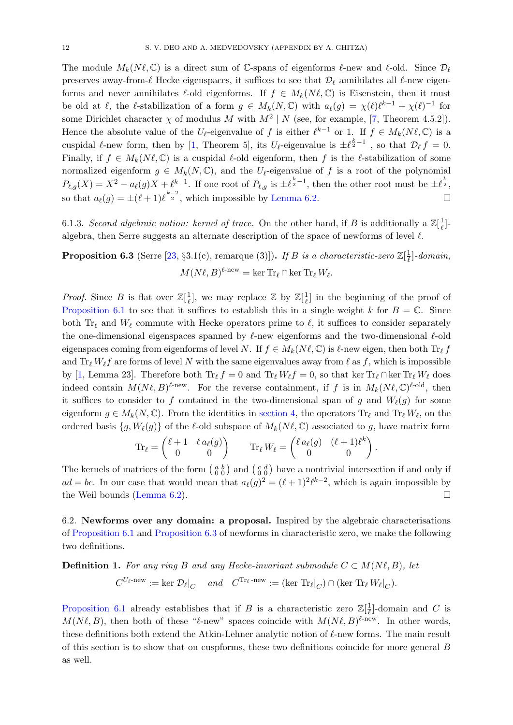The module  $M_k(N\ell, \mathbb{C})$  is a direct sum of C-spans of eigenforms  $\ell$ -new and  $\ell$ -old. Since  $\mathcal{D}_\ell$ preserves away-from- $\ell$  Hecke eigenspaces, it suffices to see that  $\mathcal{D}_{\ell}$  annihilates all  $\ell$ -new eigenforms and never annihilates  $\ell$ -old eigenforms. If  $f \in M_k(N\ell, \mathbb{C})$  is Eisenstein, then it must be old at  $\ell$ , the  $\ell$ -stabilization of a form  $g \in M_k(N, \mathbb{C})$  with  $a_{\ell}(g) = \chi(\ell)\ell^{k-1} + \chi(\ell)^{-1}$  for some Dirichlet character  $\chi$  of modulus M with  $M^2 \mid N$  (see, for example, [\[7,](#page-26-5) Theorem 4.5.2]). Hence the absolute value of the  $U_{\ell}$ -eigenvalue of f is either  $\ell^{k-1}$  or 1. If  $f \in M_k(N\ell, \mathbb{C})$  is a cuspidal  $\ell$ -new form, then by [\[1,](#page-26-1) Theorem 5], its  $U_{\ell}$ -eigenvalue is  $\pm \ell^{\frac{k}{2}-1}$ , so that  $\mathcal{D}_{\ell} f = 0$ . Finally, if  $f \in M_k(N\ell, \mathbb{C})$  is a cuspidal  $\ell$ -old eigenform, then f is the  $\ell$ -stabilization of some normalized eigenform  $g \in M_k(N, \mathbb{C})$ , and the  $U_{\ell}$ -eigenvalue of f is a root of the polynomial  $P_{\ell,g}(X) = X^2 - a_{\ell}(g)X + \ell^{k-1}$ . If one root of  $P_{\ell,g}$  is  $\pm \ell^{\frac{k}{2}-1}$ , then the other root must be  $\pm \ell^{\frac{k}{2}}$ . so that  $a_{\ell}(g) = \pm (\ell + 1)\ell^{\frac{k-2}{2}}$ , which impossible by [Lemma 6.2.](#page-10-2)

6.1.3. Second algebraic notion: kernel of trace. On the other hand, if B is additionally a  $\mathbb{Z}[\frac{1}{\ell}]$  $\frac{1}{\ell}$ ]algebra, then Serre suggests an alternate description of the space of newforms of level  $\ell$ .

<span id="page-11-1"></span>**Proposition 6.3** (Serre [\[23,](#page-27-2) §3.1(c), remarque (3)]). If B is a characteristic-zero  $\mathbb{Z}[\frac{1}{\ell}]$  $\frac{1}{\ell}$ ]-domain,  $M(N\ell, B)^{\ell-\text{new}} = \ker \text{Tr}_{\ell} \cap \ker \text{Tr}_{\ell} W_{\ell}.$ 

*Proof.* Since B is flat over  $\mathbb{Z}[\frac{1}{\ell}]$  $\frac{1}{\ell}$ , we may replace  $\mathbb{Z}$  by  $\mathbb{Z}[\frac{1}{\ell}]$  $\frac{1}{\ell}$  in the beginning of the proof of [Proposition 6.1](#page-10-1) to see that it suffices to establish this in a single weight k for  $B = \mathbb{C}$ . Since both Tr<sub>l</sub> and  $W_\ell$  commute with Hecke operators prime to  $\ell$ , it suffices to consider separately the one-dimensional eigenspaces spanned by  $\ell$ -new eigenforms and the two-dimensional  $\ell$ -old eigenspaces coming from eigenforms of level N. If  $f \in M_k(N\ell, \mathbb{C})$  is  $\ell$ -new eigen, then both  $\text{Tr}_\ell f$ and  $\text{Tr}_{\ell} W_{\ell} f$  are forms of level N with the same eigenvalues away from  $\ell$  as f, which is impossible by [\[1,](#page-26-1) Lemma 23]. Therefore both  $\text{Tr}_{\ell} f = 0$  and  $\text{Tr}_{\ell} W_{\ell} f = 0$ , so that ker  $\text{Tr}_{\ell} \cap \text{ker } \text{Tr}_{\ell} W_{\ell}$  does indeed contain  $M(N\ell, B)^{\ell-\text{new}}$ . For the reverse containment, if f is in  $M_k(N\ell, \mathbb{C})^{\ell-\text{old}}$ , then it suffices to consider to f contained in the two-dimensional span of g and  $W_{\ell}(g)$  for some eigenform  $g \in M_k(N, \mathbb{C})$ . From the identities in [section 4,](#page-8-0) the operators  $\text{Tr}_\ell$  and  $\text{Tr}_\ell W_\ell$ , on the ordered basis  $\{g, W_{\ell}(g)\}\$  of the  $\ell$ -old subspace of  $M_k(N \ell, \mathbb{C})$  associated to g, have matrix form

$$
\operatorname{Tr}_{\ell} = \begin{pmatrix} \ell+1 & \ell \, a_{\ell}(g) \\ 0 & 0 \end{pmatrix} \qquad \operatorname{Tr}_{\ell} W_{\ell} = \begin{pmatrix} \ell \, a_{\ell}(g) & (\ell+1) \ell^{k} \\ 0 & 0 \end{pmatrix}.
$$

The kernels of matrices of the form  $\begin{pmatrix} a & b \\ 0 & 0 \end{pmatrix}$  and  $\begin{pmatrix} c & d \\ 0 & 0 \end{pmatrix}$  have a nontrivial intersection if and only if  $ad = bc$ . In our case that would mean that  $a_{\ell}(g)^{2} = (\ell + 1)^{2}\ell^{k-2}$ , which is again impossible by the Weil bounds [\(Lemma 6.2\)](#page-10-2).

6.2. Newforms over any domain: a proposal. Inspired by the algebraic characterisations of [Proposition 6.1](#page-10-1) and [Proposition 6.3](#page-11-1) of newforms in characteristic zero, we make the following two definitions.

**Definition 1.** For any ring B and any Hecke-invariant submodule  $C \subset M(N\ell, B)$ , let

$$
C^{U_{\ell}\text{-new}} := \ker \mathcal{D}_{\ell}|_{C} \quad \text{ and} \quad C^{\text{Tr}_{\ell}\text{-new}} := (\ker \text{Tr}_{\ell}|_{C}) \cap (\ker \text{Tr}_{\ell} W_{\ell}|_{C}).
$$

<span id="page-11-0"></span>[Proposition 6.1](#page-10-1) already establishes that if B is a characteristic zero  $\mathbb{Z}[\frac{1}{\ell}]$  $\frac{1}{\ell}$ -domain and C is  $M(N\ell, B)$ , then both of these " $\ell$ -new" spaces coincide with  $M(N\ell, B)^{\ell$ -new. In other words, these definitions both extend the Atkin-Lehner analytic notion of  $\ell$ -new forms. The main result of this section is to show that on cuspforms, these two definitions coincide for more general B as well.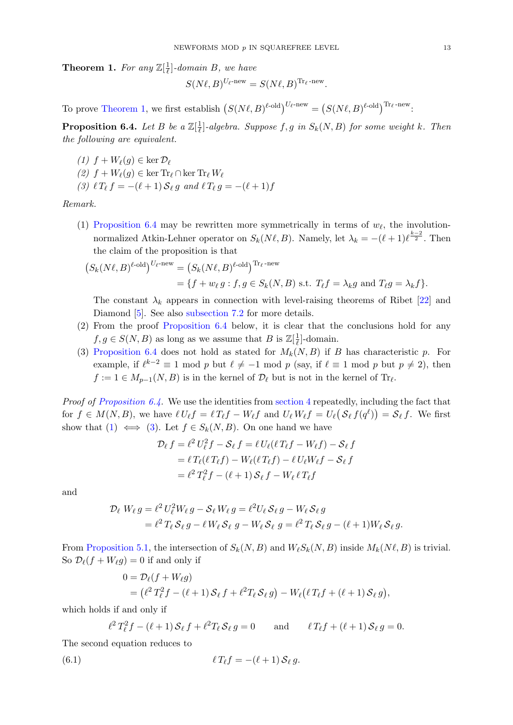**Theorem 1.** For any  $\mathbb{Z}[\frac{1}{\ell}]$  $\frac{1}{\ell}$ -domain B, we have

$$
S(N\ell, B)^{U_{\ell}\text{-new}} = S(N\ell, B)^{\text{Tr}_{\ell}\text{-new}}.
$$

To prove [Theorem 1,](#page-11-0) we first establish  $(S(N\ell, B)^{\ell-\text{old}})^{U_{\ell-\text{new}}} = (S(N\ell, B)^{\ell-\text{old}})^{\text{Tr}_{\ell-\text{new}}}.$ 

<span id="page-12-0"></span>**Proposition 6.4.** Let B be a  $\mathbb{Z}[\frac{1}{\ell}]$  $\frac{1}{\ell}$ ]-algebra. Suppose  $f,g$  in  $S_k(N,B)$  for some weight k. Then the following are equivalent.

- <span id="page-12-1"></span>(1)  $f + W_{\ell}(q) \in \ker \mathcal{D}_{\ell}$
- <span id="page-12-3"></span>(2)  $f + W_{\ell}(q) \in \ker \text{Tr}_{\ell} \cap \ker \text{Tr}_{\ell} W_{\ell}$
- <span id="page-12-2"></span>(3)  $\ell T_{\ell} f = -(\ell + 1) S_{\ell} g$  and  $\ell T_{\ell} g = -(\ell + 1)f$

<span id="page-12-4"></span>Remark.

(1) [Proposition 6.4](#page-12-0) may be rewritten more symmetrically in terms of  $w_{\ell}$ , the involutionnormalized Atkin-Lehner operator on  $S_k(N\ell, B)$ . Namely, let  $\lambda_k = -(\ell + 1)\ell^{\frac{k-2}{2}}$ . Then the claim of the proposition is that

$$
(S_k(N\ell, B)^{\ell\text{-old}})^{U_{\ell}\text{-new}} = (S_k(N\ell, B)^{\ell\text{-old}})^{\text{Tr}_{\ell}\text{-new}} = \{f + w_{\ell}g : f, g \in S_k(N, B) \text{ s.t. } T_{\ell}f = \lambda_k g \text{ and } T_{\ell}g = \lambda_k f\}.
$$

The constant  $\lambda_k$  appears in connection with level-raising theorems of Ribet [\[22\]](#page-27-3) and Diamond [\[5\]](#page-26-2). See also [subsection 7.2](#page-15-0) for more details.

- (2) From the proof [Proposition 6.4](#page-12-0) below, it is clear that the conclusions hold for any  $f, g \in S(N, B)$  as long as we assume that B is  $\mathbb{Z}[\frac{1}{\ell}]$  $\frac{1}{\ell}$ -domain.
- (3) [Proposition 6.4](#page-12-0) does not hold as stated for  $M_k(N, B)$  if B has characteristic p. For example, if  $\ell^{k-2} \equiv 1 \mod p$  but  $\ell \neq -1 \mod p$  (say, if  $\ell \equiv 1 \mod p$  but  $p \neq 2$ ), then  $f := 1 \in M_{p-1}(N, B)$  is in the kernel of  $\mathcal{D}_{\ell}$  but is not in the kernel of Tr<sub> $\ell$ </sub>.

Proof of [Proposition 6.4.](#page-12-0) We use the identities from [section 4](#page-8-0) repeatedly, including the fact that for  $f \in M(N, B)$ , we have  $\ell U_{\ell} f = \ell T_{\ell} f - W_{\ell} f$  and  $U_{\ell} W_{\ell} f = U_{\ell} (\mathcal{S}_{\ell} f(q^{\ell})) = \mathcal{S}_{\ell} f$ . We first show that [\(1\)](#page-12-1)  $\iff$  [\(3\)](#page-12-2). Let  $f \in S_k(N, B)$ . On one hand we have

$$
\mathcal{D}_{\ell} f = \ell^2 U_{\ell}^2 f - \mathcal{S}_{\ell} f = \ell U_{\ell} (\ell T_{\ell} f - W_{\ell} f) - \mathcal{S}_{\ell} f
$$
  
=  $\ell T_{\ell} (\ell T_{\ell} f) - W_{\ell} (\ell T_{\ell} f) - \ell U_{\ell} W_{\ell} f - \mathcal{S}_{\ell} f$   
=  $\ell^2 T_{\ell}^2 f - (\ell + 1) \mathcal{S}_{\ell} f - W_{\ell} \ell T_{\ell} f$ 

and

$$
\mathcal{D}_{\ell} W_{\ell} g = \ell^2 U_{\ell}^2 W_{\ell} g - \mathcal{S}_{\ell} W_{\ell} g = \ell^2 U_{\ell} \mathcal{S}_{\ell} g - W_{\ell} \mathcal{S}_{\ell} g
$$
  
= 
$$
\ell^2 T_{\ell} \mathcal{S}_{\ell} g - \ell W_{\ell} \mathcal{S}_{\ell} g - W_{\ell} \mathcal{S}_{\ell} g = \ell^2 T_{\ell} \mathcal{S}_{\ell} g - (\ell + 1) W_{\ell} \mathcal{S}_{\ell} g.
$$

From [Proposition 5.1,](#page-8-3) the intersection of  $S_k(N, B)$  and  $W_\ell S_k(N, B)$  inside  $M_k(N \ell, B)$  is trivial. So  $\mathcal{D}_{\ell}(f + W_{\ell}g) = 0$  if and only if

$$
0 = \mathcal{D}_{\ell}(f + W_{\ell}g)
$$
  
=  $({\ell}^2 T_{\ell}^2 f - (\ell + 1) S_{\ell} f + {\ell}^2 T_{\ell} S_{\ell} g) - W_{\ell}({\ell} T_{\ell} f + (\ell + 1) S_{\ell} g),$ 

which holds if and only if

$$
\ell^2 T_{\ell}^2 f - (\ell + 1) S_{\ell} f + \ell^2 T_{\ell} S_{\ell} g = 0 \quad \text{and} \quad \ell T_{\ell} f + (\ell + 1) S_{\ell} g = 0.
$$

The second equation reduces to

(6.1) 
$$
\ell T_{\ell} f = -(\ell+1) S_{\ell} g.
$$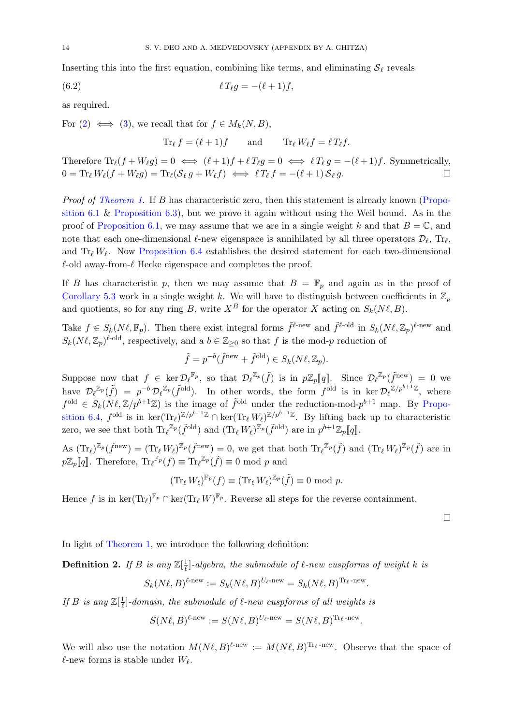Inserting this into the first equation, combining like terms, and eliminating  $\mathcal{S}_{\ell}$  reveals

$$
\ell T_{\ell}g = -(\ell+1)f,
$$

as required.

For  $(2) \iff (3)$  $(2) \iff (3)$ , we recall that for  $f \in M_k(N, B)$ ,

$$
\operatorname{Tr}_{\ell} f = (\ell + 1)f \qquad \text{and} \qquad \operatorname{Tr}_{\ell} W_{\ell} f = \ell T_{\ell} f.
$$

Therefore  $\text{Tr}_{\ell}(f + W_{\ell}g) = 0 \iff (\ell + 1)f + \ell T_{\ell}g = 0 \iff \ell T_{\ell}g = -(\ell + 1)f$ . Symmetrically,  $0 = \text{Tr}_{\ell} W_{\ell}(f + W_{\ell}g) = \text{Tr}_{\ell}(\mathcal{S}_{\ell} g + W_{\ell}f) \iff \ell T_{\ell} f = -(\ell + 1) \mathcal{S}_{\ell} g.$ 

Proof of [Theorem 1.](#page-11-0) If B has characteristic zero, then this statement is already known [\(Propo](#page-10-1)[sition 6.1](#page-10-1) & [Proposition 6.3\)](#page-11-1), but we prove it again without using the Weil bound. As in the proof of [Proposition 6.1,](#page-10-1) we may assume that we are in a single weight k and that  $B = \mathbb{C}$ , and note that each one-dimensional  $\ell$ -new eigenspace is annihilated by all three operators  $\mathcal{D}_{\ell}$ ,  $\text{Tr}_{\ell}$ , and  $\text{Tr}_{\ell} W_{\ell}$ . Now [Proposition 6.4](#page-12-0) establishes the desired statement for each two-dimensional  $\ell$ -old away-from- $\ell$  Hecke eigenspace and completes the proof.

If B has characteristic p, then we may assume that  $B = \mathbb{F}_p$  and again as in the proof of [Corollary 5.3](#page-9-2) work in a single weight k. We will have to distinguish between coefficients in  $\mathbb{Z}_p$ and quotients, so for any ring B, write  $X^B$  for the operator X acting on  $S_k(N\ell, B)$ .

Take  $f \in S_k(N\ell, \mathbb{F}_p)$ . Then there exist integral forms  $\tilde{f}^{\ell-\text{new}}$  and  $\tilde{f}^{\ell-\text{old}}$  in  $S_k(N\ell, \mathbb{Z}_p)^{\ell-\text{new}}$  and  $S_k(N\ell, \mathbb{Z}_p)^{\ell-\text{old}}$ , respectively, and a  $b \in \mathbb{Z}_{\geq 0}$  so that f is the mod-p reduction of

$$
\tilde{f} = p^{-b}(\tilde{f}^{\text{new}} + \tilde{f}^{\text{old}}) \in S_k(N\ell, \mathbb{Z}_p).
$$

Suppose now that  $f \in \ker \mathcal{D}_\ell^{\mathbb{F}_p}$ , so that  $\mathcal{D}_\ell^{\mathbb{Z}_p}(\tilde{f})$  is in  $p\mathbb{Z}_p[[q]]$ . Since  $\mathcal{D}_\ell^{\mathbb{Z}_p}(\tilde{f}^{\text{new}}) = 0$  we have  $\mathcal{D}_\ell^{\mathbb{Z}_p}(\tilde{f}) = p^{-b} \mathcal{D}_\ell^{\mathbb{Z}_p}(\tilde{f}^{\text{old}})$ . In other words, the form  $f^{\text{old}}$  is in ker $\mathcal{D}_\ell^{\mathbb{Z}/p^{b+1}\mathbb{Z}}$ , where  $f^{\text{old}} \in S_k(N\ell, \mathbb{Z}/p^{b+1}\mathbb{Z})$  is the image of  $\tilde{f}^{\text{old}}$  under the reduction-mod- $p^{b+1}$  map. By [Propo](#page-12-0)[sition 6.4,](#page-12-0)  $f^{\text{old}}$  is in ker $(\text{Tr}_{\ell})^{\mathbb{Z}/p^{b+1}\mathbb{Z}} \cap \text{ker}(\text{Tr}_{\ell} W_{\ell})^{\mathbb{Z}/p^{b+1}\mathbb{Z}}$ . By lifting back up to characteristic zero, we see that both  $\text{Tr}_{\ell}^{\mathbb{Z}_p}(\tilde{f}^{\text{old}})$  and  $(\text{Tr}_{\ell} W_{\ell})^{\mathbb{Z}_p}(\tilde{f}^{\text{old}})$  are in  $p^{b+1}\mathbb{Z}_p[[q]]$ .

As  $(\text{Tr}_{\ell})^{\mathbb{Z}_p}(\tilde{f}^{\text{new}}) = (\text{Tr}_{\ell} W_{\ell})^{\mathbb{Z}_p}(\tilde{f}^{\text{new}}) = 0$ , we get that both  $\text{Tr}_{\ell}^{\mathbb{Z}_p}(\tilde{f})$  and  $(\text{Tr}_{\ell} W_{\ell})^{\mathbb{Z}_p}(\tilde{f})$  are in  $p\mathbb{Z}_p[\![q]\!]$ . Therefore,  $\text{Tr}_{\ell}^{\mathbb{F}_p}(f) \equiv \text{Tr}_{\ell}^{\mathbb{Z}_p}(\tilde{f}) \equiv 0 \mod p$  and

$$
(\text{Tr}_{\ell} W_{\ell})^{\mathbb{F}_p}(f) \equiv (\text{Tr}_{\ell} W_{\ell})^{\mathbb{Z}_p}(\tilde{f}) \equiv 0 \text{ mod } p.
$$

Hence f is in  $\ker(\text{Tr}_{\ell})^{\mathbb{F}_p} \cap \ker(\text{Tr}_{\ell}W)^{\mathbb{F}_p}$ . Reverse all steps for the reverse containment.

 $\Box$ 

In light of [Theorem 1,](#page-11-0) we introduce the following definition:

**Definition 2.** If B is any  $\mathbb{Z}[\frac{1}{\ell}]$  $\frac{1}{\ell}$ ]-algebra, the submodule of  $\ell$ -new cuspforms of weight  $k$  is

$$
S_k(N\ell,B)^{\ell\text{-new}} := S_k(N\ell,B)^{U_{\ell}\text{-new}} = S_k(N\ell,B)^{\text{Tr}_{\ell}\text{-new}}.
$$

If B is any  $\mathbb{Z}[\frac{1}{\ell}]$  $\frac{1}{\ell}$ ]-domain, the submodule of  $\ell$ -new cuspforms of all weights is

$$
S(N\ell, B)^{\ell-\text{new}} := S(N\ell, B)^{U_{\ell}-\text{new}} = S(N\ell, B)^{\text{Tr}_{\ell}-\text{new}}.
$$

We will also use the notation  $M(N\ell, B)^{\ell-\text{new}} := M(N\ell, B)^{\text{Tr}_{\ell}-\text{new}}$ . Observe that the space of  $\ell$ -new forms is stable under  $W_{\ell}$ .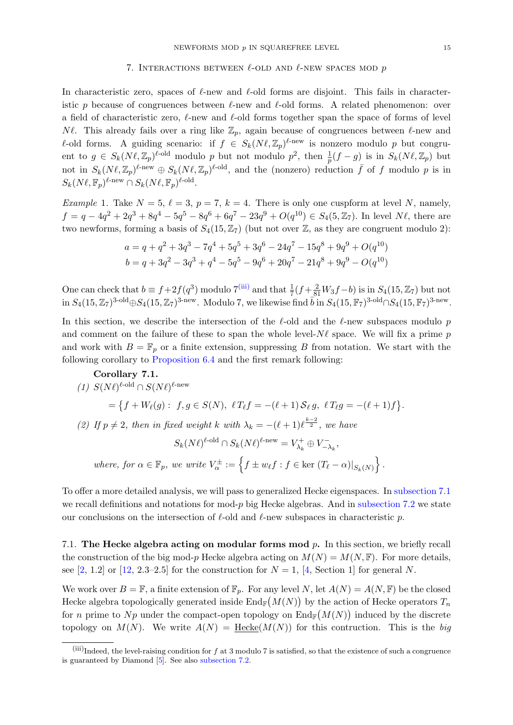#### 7. INTERACTIONS BETWEEN  $\ell$ -OLD AND  $\ell$ -NEW SPACES MOD p

<span id="page-14-0"></span>In characteristic zero, spaces of  $\ell$ -new and  $\ell$ -old forms are disjoint. This fails in characteristic p because of congruences between  $\ell$ -new and  $\ell$ -old forms. A related phenomenon: over a field of characteristic zero,  $\ell$ -new and  $\ell$ -old forms together span the space of forms of level Nl. This already fails over a ring like  $\mathbb{Z}_p$ , again because of congruences between l-new and  $\ell$ -old forms. A guiding scenario: if  $f \in S_k(N\ell, \mathbb{Z}_p)^{\ell-\text{new}}$  is nonzero modulo p but congruent to  $g \in S_k(N\ell, \mathbb{Z}_p)^{\ell-\text{old}}$  modulo p but not modulo  $p^2$ , then  $\frac{1}{p}(f-g)$  is in  $S_k(N\ell, \mathbb{Z}_p)$  but not in  $S_k(N\ell, \mathbb{Z}_p)^{\ell \text{-new}} \oplus S_k(N\ell, \mathbb{Z}_p)^{\ell \text{-old}}$ , and the (nonzero) reduction  $\bar{f}$  of f modulo p is in  $S_k(N\ell, \mathbb{F}_p)^{\ell \text{-new}} \cap S_k(N\ell, \mathbb{F}_p)^{\ell \text{-old}}.$ 

*Example 1.* Take  $N = 5, \ell = 3, p = 7, k = 4$ . There is only one cuspform at level N, namely,  $f = q - 4q^2 + 2q^3 + 8q^4 - 5q^5 - 8q^6 + 6q^7 - 23q^9 + O(q^{10}) \in S_4(5, \mathbb{Z}_7)$ . In level  $N\ell$ , there are two newforms, forming a basis of  $S_4(15, \mathbb{Z}_7)$  (but not over  $\mathbb{Z}$ , as they are congruent modulo 2):

$$
a = q + q2 + 3q3 - 7q4 + 5q5 + 3q6 - 24q7 - 15q8 + 9q9 + O(q10)
$$
  

$$
b = q + 3q2 - 3q3 + q4 - 5q5 - 9q6 + 20q7 - 21q8 + 9q9 - O(q10)
$$

One can check that  $b \equiv f + 2f(q^3)$  modulo  $7^{(iii)}$  $7^{(iii)}$  $7^{(iii)}$  and that  $\frac{1}{7}(f + \frac{2}{81}W_3f - b)$  is in  $S_4(15, \mathbb{Z}_7)$  but not in  $S_4(15, \mathbb{Z}_7)^{3-\text{old}}\oplus S_4(15, \mathbb{Z}_7)^{3-\text{new}}$ . Modulo 7, we likewise find  $\bar{b}$  in  $S_4(15, \mathbb{F}_7)^{3-\text{old}}\cap S_4(15, \mathbb{F}_7)^{3-\text{new}}$ .

In this section, we describe the intersection of the  $\ell$ -old and the  $\ell$ -new subspaces modulo p and comment on the failure of these to span the whole level- $N\ell$  space. We will fix a prime p and work with  $B = \mathbb{F}_p$  or a finite extension, suppressing B from notation. We start with the following corollary to [Proposition 6.4](#page-12-0) and the first remark following:

# <span id="page-14-3"></span>Corollary 7.1. (1)  $S(N\ell)^{\ell-\text{old}} \cap S(N\ell)^{\ell-\text{new}}$  $=\big\{ f + W_\ell(g): \,\, f,g \in S(N), \,\, \ell \, T_\ell f = -(\ell+1) \, {\cal S}_\ell \, g, \,\, \ell \, T_\ell g = -(\ell+1) f \big\}.$ (2) If  $p \neq 2$ , then in fixed weight k with  $\lambda_k = -(\ell + 1)\ell^{\frac{k-2}{2}}$ , we have

$$
S_k(N\ell)^{\ell-\text{old}} \cap S_k(N\ell)^{\ell-\text{new}} = V_{\lambda_k}^+ \oplus V_{-\lambda_k}^-,
$$
  
where, for  $\alpha \in \mathbb{F}_p$ , we write  $V_{\alpha}^{\pm} := \left\{ f \pm w_{\ell} f : f \in \text{ker } (T_{\ell} - \alpha)|_{S_k(N)} \right\}.$ 

To offer a more detailed analysis, we will pass to generalized Hecke eigenspaces. In [subsection 7.1](#page-14-1) we recall definitions and notations for mod-p big Hecke algebras. And in [subsection 7.2](#page-15-0) we state our conclusions on the intersection of  $\ell$ -old and  $\ell$ -new subspaces in characteristic p.

<span id="page-14-1"></span>7.1. The Hecke algebra acting on modular forms mod  $p$ . In this section, we briefly recall the construction of the big mod-p Hecke algebra acting on  $M(N) = M(N, \mathbb{F})$ . For more details, see [\[2,](#page-26-7) 1.2] or [\[12,](#page-27-8) 2.3–2.5] for the construction for  $N = 1$ , [\[4,](#page-26-8) Section 1] for general N.

We work over  $B = \mathbb{F}$ , a finite extension of  $\mathbb{F}_p$ . For any level N, let  $A(N) = A(N, \mathbb{F})$  be the closed Hecke algebra topologically generated inside  $\text{End}_{\mathbb{F}}(M(N))$  by the action of Hecke operators  $T_n$ for *n* prime to N<sub>p</sub> under the compact-open topology on  $\text{End}_{\mathbb{F}}(M(N))$  induced by the discrete topology on  $M(N)$ . We write  $A(N) =$  Hecke $(M(N))$  for this contruction. This is the big

<span id="page-14-2"></span> $(iii)$ Indeed, the level-raising condition for f at 3 modulo 7 is satisfied, so that the existence of such a congruence is guaranteed by Diamond [\[5\]](#page-26-2). See also [subsection 7.2.](#page-15-0)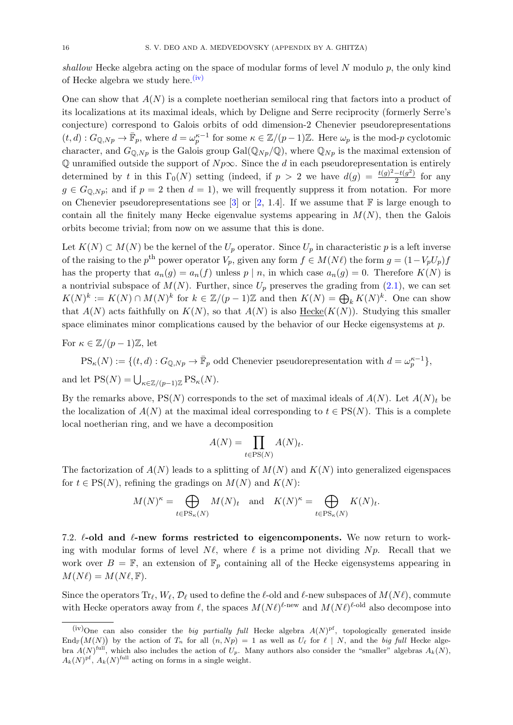shallow Hecke algebra acting on the space of modular forms of level  $N$  modulo  $p$ , the only kind of Hecke algebra we study here.<sup>[\(iv\)](#page-15-1)</sup>

One can show that  $A(N)$  is a complete noetherian semilocal ring that factors into a product of its localizations at its maximal ideals, which by Deligne and Serre reciprocity (formerly Serre's conjecture) correspond to Galois orbits of odd dimension-2 Chenevier pseudorepresentations  $(t, d) : G_{\mathbb{Q}, Np} \to \overline{\mathbb{F}}_p$ , where  $d = \omega_p^{\kappa-1}$  for some  $\kappa \in \mathbb{Z}/(p-1)\mathbb{Z}$ . Here  $\omega_p$  is the mod-p cyclotomic character, and  $G_{\mathbb{Q},Np}$  is the Galois group Gal $(\mathbb{Q}_{Np}/\mathbb{Q})$ , where  $\mathbb{Q}_{Np}$  is the maximal extension of  $\mathbb Q$  unramified outside the support of  $Np\infty$ . Since the d in each pseudorepresentation is entirely determined by t in this  $\Gamma_0(N)$  setting (indeed, if  $p > 2$  we have  $d(g) = \frac{t(g)^2 - t(g^2)}{2}$  $\frac{-\iota(g^-)}{2}$  for any  $g \in G_{\mathbb{Q},Np}$ ; and if  $p = 2$  then  $d = 1$ ), we will frequently suppress it from notation. For more on Chenevier pseudorepresentations see [\[3\]](#page-26-9) or [\[2,](#page-26-7) 1.4]. If we assume that  $\mathbb F$  is large enough to contain all the finitely many Hecke eigenvalue systems appearing in  $M(N)$ , then the Galois orbits become trivial; from now on we assume that this is done.

Let  $K(N) \subset M(N)$  be the kernel of the  $U_p$  operator. Since  $U_p$  in characteristic p is a left inverse of the raising to the  $p^{\text{th}}$  power operator  $V_p$ , given any form  $f \in M(N\ell)$  the form  $g = (1 - V_p U_p)f$ has the property that  $a_n(g) = a_n(f)$  unless  $p | n$ , in which case  $a_n(g) = 0$ . Therefore  $K(N)$  is a nontrivial subspace of  $M(N)$ . Further, since  $U_p$  preserves the grading from [\(2.1\)](#page-3-3), we can set  $K(N)^k := K(N) \cap M(N)^k$  for  $k \in \mathbb{Z}/(p-1)\mathbb{Z}$  and then  $K(N) = \bigoplus_k K(N)^k$ . One can show that  $A(N)$  acts faithfully on  $K(N)$ , so that  $A(N)$  is also Hecke $(K(N))$ . Studying this smaller space eliminates minor complications caused by the behavior of our Hecke eigensystems at p.

For 
$$
\kappa \in \mathbb{Z}/(p-1)\mathbb{Z}
$$
, let

 $PS_{\kappa}(N) := \{ (t, d) : G_{\mathbb{Q}, Np} \to \overline{\mathbb{F}}_p \text{ odd Chenevier pseudorepresentation with } d = \omega_p^{\kappa-1} \},$ and let  $PS(N) = \bigcup_{\kappa \in \mathbb{Z}/(p-1)\mathbb{Z}} PS_{\kappa}(N)$ .

By the remarks above,  $PS(N)$  corresponds to the set of maximal ideals of  $A(N)$ . Let  $A(N)_t$  be the localization of  $A(N)$  at the maximal ideal corresponding to  $t \in PS(N)$ . This is a complete local noetherian ring, and we have a decomposition

$$
A(N) = \prod_{t \in \text{PS}(N)} A(N)_t.
$$

The factorization of  $A(N)$  leads to a splitting of  $M(N)$  and  $K(N)$  into generalized eigenspaces for  $t \in PS(N)$ , refining the gradings on  $M(N)$  and  $K(N)$ :

$$
M(N)^{\kappa} = \bigoplus_{t \in \text{PS}_{\kappa}(N)} M(N)_t \quad \text{and} \quad K(N)^{\kappa} = \bigoplus_{t \in \text{PS}_{\kappa}(N)} K(N)_t.
$$

<span id="page-15-0"></span>7.2.  $\ell$ -old and  $\ell$ -new forms restricted to eigencomponents. We now return to working with modular forms of level  $N \ell$ , where  $\ell$  is a prime not dividing  $N p$ . Recall that we work over  $B = \mathbb{F}$ , an extension of  $\mathbb{F}_p$  containing all of the Hecke eigensystems appearing in  $M(N \ell) = M(N \ell, \mathbb{F}).$ 

Since the operators  $\text{Tr}_\ell, W_\ell, \mathcal{D}_\ell$  used to define the  $\ell$ -old and  $\ell$ -new subspaces of  $M(N\ell),$  commute with Hecke operators away from  $\ell$ , the spaces  $M(N\ell)^{\ell-\text{new}}$  and  $M(N\ell)^{\ell-\text{old}}$  also decompose into

<span id="page-15-1"></span> $({}^{iv})$ One can also consider the *big partially full* Hecke algebra  $A(N)^{pf}$ , topologically generated inside  $\text{End}_{\mathbb{F}}(M(N))$  by the action of  $T_n$  for all  $(n, Np) = 1$  as well as  $U_{\ell}$  for  $\ell \mid N$ , and the big full Hecke algebra  $A(N)$ <sup>full</sup>, which also includes the action of  $U_p$ . Many authors also consider the "smaller" algebras  $A_k(N)$ ,  $A_k(N)$ <sup>pf</sup>,  $A_k(N)$ <sup>full</sup> acting on forms in a single weight.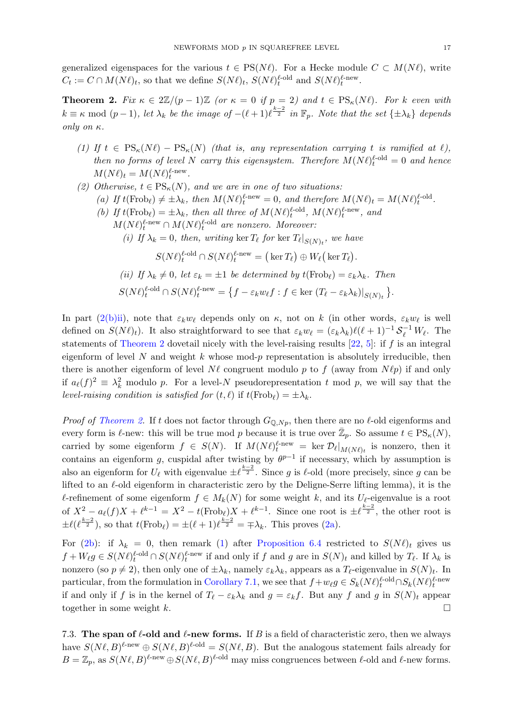generalized eigenspaces for the various  $t \in \text{PS}(N \ell)$ . For a Hecke module  $C \subset M(N \ell)$ , write  $C_t := C \cap M(N\ell)_t$ , so that we define  $S(N\ell)_t, S(N\ell)_t^{\ell-\text{old}}$  and  $S(N\ell)_t^{\ell-\text{new}}$ .

<span id="page-16-1"></span>**Theorem 2.** Fix  $\kappa \in 2\mathbb{Z}/(p-1)\mathbb{Z}$  (or  $\kappa = 0$  if  $p = 2$ ) and  $t \in PS_{\kappa}(N\ell)$ . For k even with  $k \equiv \kappa \mod (p-1)$ , let  $\lambda_k$  be the image of  $-(\ell+1)\ell^{\frac{k-2}{2}}$  in  $\mathbb{F}_p$ . Note that the set  $\{\pm \lambda_k\}$  depends only on  $κ$ .

- (1) If  $t \in PS_{\kappa}(N\ell) PS_{\kappa}(N)$  (that is, any representation carrying t is ramified at  $\ell$ ), then no forms of level N carry this eigensystem. Therefore  $M(N\ell)_t^{\ell-\text{old}} = 0$  and hence  $M(N\ell)_t = M(N\ell)_t^{\ell{\text{-new}}}.$
- <span id="page-16-3"></span><span id="page-16-2"></span>(2) Otherwise,  $t \in PS_{\kappa}(N)$ , and we are in one of two situations: (a) If  $t(\text{Frob}_{\ell}) \neq \pm \lambda_k$ , then  $M(N\ell)_{t}^{\ell-\text{new}} = 0$ , and therefore  $M(N\ell)_{t} = M(N\ell)_{t}^{\ell-\text{old}}$ . (b) If  $t(Frob_\ell) = \pm \lambda_k$ , then all three of  $M(N\ell)_{t}^{\ell-\text{old}}, M(N\ell)_{t}^{\ell-\text{new}},$  and  $M(N\ell)_t^{\ell{\text{-new}}} \cap M(N\ell)_t^{\ell{\text{-old}}}$  are nonzero. Moreover: (i) If  $\lambda_k = 0$ , then, writing ker  $T_\ell$  for ker  $T_\ell|_{S(N)_t}$ , we have  $S(N\ell)_t^{\ell\text{-old}} \cap S(N\ell)_t^{\ell\text{-new}} = (\ker T_\ell) \oplus W_\ell (\ker T_\ell).$ (ii) If  $\lambda_k \neq 0$ , let  $\varepsilon_k = \pm 1$  be determined by  $t(Frob_\ell) = \varepsilon_k \lambda_k$ . Then  $S(N\ell)_{t}^{\ell-\text{old}} \cap S(N\ell)_{t}^{\ell-\text{new}} = \left\{f - \varepsilon_{k}w_{\ell}f : f \in \text{ker } (T_{\ell} - \varepsilon_{k}\lambda_{k})|_{S(N)_{t}}\right\}.$

<span id="page-16-0"></span>In part  $(2(b)ii)$ , note that  $\varepsilon_k w_\ell$  depends only on  $\kappa$ , not on k (in other words,  $\varepsilon_k w_\ell$  is well defined on  $S(N\ell)_t$ ). It also straightforward to see that  $\varepsilon_k w_\ell = (\varepsilon_k \lambda_k)\ell(\ell+1)^{-1} \mathcal{S}_\ell^{-1} W_\ell$ . The statements of [Theorem 2](#page-16-1) dovetail nicely with the level-raising results  $[22, 5]$  $[22, 5]$ : if f is an integral eigenform of level N and weight k whose mod-p representation is absolutely irreducible, then there is another eigenform of level  $N \ell$  congruent modulo p to f (away from  $N \ell p$ ) if and only if  $a_{\ell}(f)^2 \equiv \lambda_k^2$  modulo p. For a level-N pseudorepresentation t mod p, we will say that the level-raising condition is satisfied for  $(t, \ell)$  if  $t(Frob_{\ell}) = \pm \lambda_k$ .

*Proof of [Theorem 2.](#page-16-1)* If t does not factor through  $G_{\mathbb{Q},Np}$ , then there are no  $\ell$ -old eigenforms and every form is  $\ell$ -new: this will be true mod p because it is true over  $\overline{\mathbb{Z}}_p$ . So assume  $t \in \mathrm{PS}_{\kappa}(N)$ , carried by some eigenform  $f \in S(N)$ . If  $M(N\ell)_{t}^{\ell-\text{new}} = \text{ker } \mathcal{D}_{\ell}|_{M(N\ell)_{t}}$  is nonzero, then it contains an eigenform g, cuspidal after twisting by  $\theta^{p-1}$  if necessary, which by assumption is also an eigenform for  $U_\ell$  with eigenvalue  $\pm \ell^{\frac{k-2}{2}}$ . Since g is  $\ell$ -old (more precisely, since g can be lifted to an  $\ell$ -old eigenform in characteristic zero by the Deligne-Serre lifting lemma), it is the  $\ell$ -refinement of some eigenform  $f \in M_k(N)$  for some weight k, and its U<sub> $\ell$ </sub>-eigenvalue is a root of  $X^2 - a_{\ell}(f)X + \ell^{k-1} = X^2 - t(\text{Frob}_{\ell})X + \ell^{k-1}$ . Since one root is  $\pm \ell^{\frac{k-2}{2}}$ , the other root is  $\pm \ell(\ell^{\frac{k-2}{2}})$ , so that  $t(\text{Frob}_{\ell}) = \pm(\ell+1)\ell^{\frac{k-2}{2}} = \pm \lambda_k$ . This proves [\(2a\)](#page-16-2).

For [\(2b\)](#page-16-3): if  $\lambda_k = 0$ , then remark [\(1\)](#page-12-4) after [Proposition 6.4](#page-12-0) restricted to  $S(N\ell)_t$  gives us  $f + W_{\ell}g \in S(N\ell)_{t}^{\ell-\text{old}} \cap S(N\ell)_{t}^{\ell-\text{new}}$  if and only if f and g are in  $S(N)_{t}$  and killed by  $T_{\ell}$ . If  $\lambda_{k}$  is nonzero (so  $p \neq 2$ ), then only one of  $\pm \lambda_k$ , namely  $\varepsilon_k \lambda_k$ , appears as a  $T_\ell$ -eigenvalue in  $S(N)_t$ . In particular, from the formulation in [Corollary 7.1,](#page-14-3) we see that  $f + w_{\ell}g \in S_k(N\ell)_{t}^{\ell-\text{old}} \cap S_k(N\ell)_{t}^{\ell-\text{new}}$ if and only if f is in the kernel of  $T_\ell - \varepsilon_k \lambda_k$  and  $g = \varepsilon_k f$ . But any f and g in  $S(N)_t$  appear together in some weight k.  $\square$ 

7.3. The span of  $\ell$ -old and  $\ell$ -new forms. If B is a field of characteristic zero, then we always have  $S(N\ell, B)^{\ell-\text{new}} \oplus S(N\ell, B)^{\ell-\text{old}} = S(N\ell, B)$ . But the analogous statement fails already for  $B = \mathbb{Z}_p$ , as  $S(N\ell, B)^{\ell \text{-new}} \oplus S(N\ell, B)^{\ell \text{-old}}$  may miss congruences between  $\ell$ -old and  $\ell$ -new forms.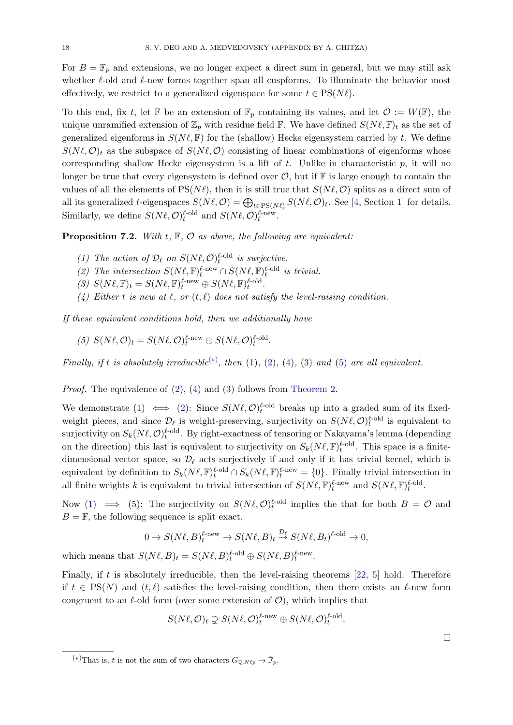For  $B = \mathbb{F}_p$  and extensions, we no longer expect a direct sum in general, but we may still ask whether  $\ell$ -old and  $\ell$ -new forms together span all cuspforms. To illuminate the behavior most effectively, we restrict to a generalized eigenspace for some  $t \in PS(N\ell)$ .

To this end, fix t, let  $\mathbb F$  be an extension of  $\mathbb F_p$  containing its values, and let  $\mathcal O := W(\mathbb F)$ , the unique unramified extension of  $\mathbb{Z}_p$  with residue field  $\mathbb{F}$ . We have defined  $S(N\ell, \mathbb{F})_t$  as the set of generalized eigenforms in  $S(N\ell, \mathbb{F})$  for the (shallow) Hecke eigensystem carried by t. We define  $S(N \ell, \mathcal{O})_t$  as the subspace of  $S(N \ell, \mathcal{O})$  consisting of linear combinations of eigenforms whose corresponding shallow Hecke eigensystem is a lift of  $t$ . Unlike in characteristic  $p$ , it will no longer be true that every eigensystem is defined over  $\mathcal{O}$ , but if  $\mathbb{F}$  is large enough to contain the values of all the elements of  $PS(N \ell)$ , then it is still true that  $S(N \ell, O)$  splits as a direct sum of all its generalized t-eigenspaces  $S(N\ell, \mathcal{O}) = \bigoplus_{t \in \text{PS}(N\ell)} S(N\ell, \mathcal{O})_t$ . See [\[4,](#page-26-8) Section 1] for details. Similarly, we define  $S(N\ell, \mathcal{O})_t^{\ell-\text{old}}$  and  $S(N\ell, \mathcal{O})_t^{\ell-\text{new}}$ .

**Proposition 7.2.** With t,  $\mathbb{F}$ ,  $\mathcal{O}$  as above, the following are equivalent:

- <span id="page-17-1"></span>(1) The action of  $\mathcal{D}_{\ell}$  on  $S(N\ell, \mathcal{O})_t^{\ell-\text{old}}$  is surjective.
- <span id="page-17-2"></span>(2) The intersection  $S(N\ell, \mathbb{F})_t^{\ell \text{-new}} \cap S(N\ell, \mathbb{F})_t^{\ell \text{-old}}$  is trivial.
- <span id="page-17-4"></span>(3)  $S(N\ell, \mathbb{F})_t = S(N\ell, \mathbb{F})_t^{\ell \text{-new}} \oplus S(N\ell, \mathbb{F})_t^{\ell \text{-old}}.$
- <span id="page-17-3"></span>(4) Either t is new at  $\ell$ , or  $(t, \ell)$  does not satisfy the level-raising condition.

If these equivalent conditions hold, then we additionally have

<span id="page-17-5"></span>(5) 
$$
S(N\ell,\mathcal{O})_t = S(N\ell,\mathcal{O})_t^{\ell-\text{new}} \oplus S(N\ell,\mathcal{O})_t^{\ell-\text{old}}.
$$

Finally, if t is absolutely irreducible<sup>[\(v\)](#page-17-0)</sup>, then [\(1\)](#page-17-1), [\(2\)](#page-17-2), [\(4\)](#page-17-3), [\(3\)](#page-17-4) and [\(5\)](#page-17-5) are all equivalent.

Proof. The equivalence of [\(2\)](#page-17-2), [\(4\)](#page-17-3) and [\(3\)](#page-17-4) follows from [Theorem 2.](#page-16-1)

We demonstrate [\(1\)](#page-17-1)  $\iff$  [\(2\)](#page-17-2): Since  $S(N\ell, \mathcal{O})_t^{\ell-\text{old}}$  breaks up into a graded sum of its fixedweight pieces, and since  $\mathcal{D}_\ell$  is weight-preserving, surjectivity on  $S(N\ell, \mathcal{O})_t^{\ell-\text{old}}$  is equivalent to surjectivity on  $S_k(N\ell, \mathcal{O})_t^{\ell-\text{old}}$ . By right-exactness of tensoring or Nakayama's lemma (depending on the direction) this last is equivalent to surjectivity on  $S_k(N\ell, \mathbb{F})_t^{\ell-\text{old}}$ . This space is a finitedimensional vector space, so  $\mathcal{D}_\ell$  acts surjectively if and only if it has trivial kernel, which is equivalent by definition to  $S_k(N\ell, \mathbb{F})_t^{\ell-\text{old}} \cap S_k(N\ell, \mathbb{F})_t^{\ell-\text{new}} = \{0\}.$  Finally trivial intersection in all finite weights k is equivalent to trivial intersection of  $S(N\ell, \mathbb{F})_t^{\ell \text{-new}}$  and  $S(N\ell, \mathbb{F})_t^{\ell \text{-old}}$ .

Now [\(1\)](#page-17-1)  $\implies$  [\(5\)](#page-17-5): The surjectivity on  $S(N\ell, \mathcal{O})_t^{\ell-\text{old}}$  implies the that for both  $B = \mathcal{O}$  and  $B = \mathbb{F}$ , the following sequence is split exact.

$$
0 \to S(N\ell,B)_{t}^{\ell\text{-new}} \to S(N\ell,B)_{t} \stackrel{\mathcal{D}_{\ell}}{\to} S(N\ell,B_{t})^{\ell\text{-old}} \to 0,
$$

which means that  $S(N\ell, B)_t = S(N\ell, B)_t^{\ell-\text{old}} \oplus S(N\ell, B)_t^{\ell-\text{new}}$ .

Finally, if t is absolutely irreducible, then the level-raising theorems  $[22, 5]$  $[22, 5]$  hold. Therefore if  $t \in \text{PS}(N)$  and  $(t, \ell)$  satisfies the level-raising condition, then there exists an  $\ell$ -new form congruent to an  $\ell$ -old form (over some extension of  $\mathcal{O}$ ), which implies that

$$
S(N\ell,\mathcal{O})_t \supsetneq S(N\ell,\mathcal{O})_t^{\ell\text{-new}} \oplus S(N\ell,\mathcal{O})_t^{\ell\text{-old}}.
$$

<span id="page-17-0"></span><sup>(</sup>v)That is, t is not the sum of two characters  $G_{\mathbb{O},N\ell p} \to \overline{\mathbb{F}}_p$ .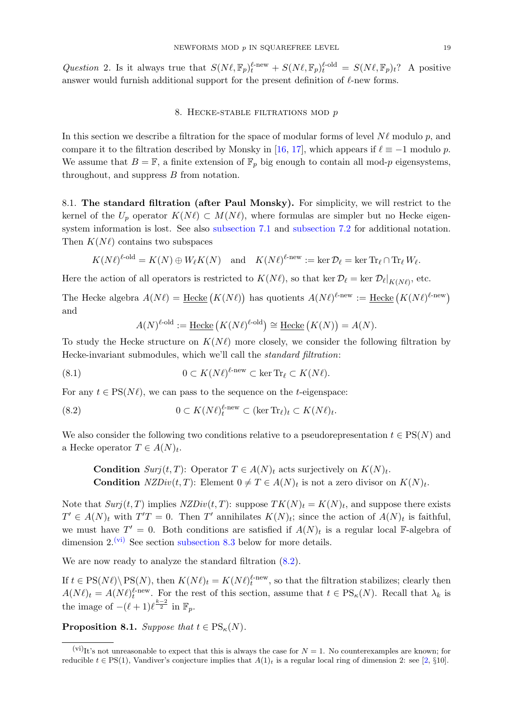Question 2. Is it always true that  $S(N\ell, \mathbb{F}_p)_t^{\ell \text{-new}} + S(N\ell, \mathbb{F}_p)_t^{\ell \text{-old}} = S(N\ell, \mathbb{F}_p)_t$ ? A positive answer would furnish additional support for the present definition of  $\ell$ -new forms.

## 8. HECKE-STABLE FILTRATIONS MOD  $p$

<span id="page-18-0"></span>In this section we describe a filtration for the space of modular forms of level  $N\ell$  modulo p, and compare it to the filtration described by Monsky in [\[16,](#page-27-0) [17\]](#page-27-1), which appears if  $\ell \equiv -1$  modulo p. We assume that  $B = \mathbb{F}$ , a finite extension of  $\mathbb{F}_p$  big enough to contain all mod-p eigensystems, throughout, and suppress B from notation.

<span id="page-18-4"></span>8.1. The standard filtration (after Paul Monsky). For simplicity, we will restrict to the kernel of the  $U_p$  operator  $K(N\ell) \subset M(N\ell)$ , where formulas are simpler but no Hecke eigensystem information is lost. See also [subsection 7.1](#page-14-1) and [subsection 7.2](#page-15-0) for additional notation. Then  $K(N\ell)$  contains two subspaces

$$
K(N\ell)^{\ell\text{-old}} = K(N) \oplus W_{\ell}K(N) \quad \text{and} \quad K(N\ell)^{\ell\text{-new}} := \ker \mathcal{D}_{\ell} = \ker \text{Tr}_{\ell} \cap \text{Tr}_{\ell}W_{\ell}.
$$

Here the action of all operators is restricted to  $K(N\ell)$ , so that ker  $\mathcal{D}_{\ell} = \ker \mathcal{D}_{\ell}|_{K(N\ell)}$ , etc.

The Hecke algebra  $A(N\ell) = \underline{\text{Hecke}}(K(N\ell))$  has quotients  $A(N\ell)^{\ell-\text{new}} := \underline{\text{Hecke}}(K(N\ell)^{\ell-\text{new}})$ and

<span id="page-18-1"></span>
$$
A(N)^{\ell\text{-old}} := \underline{\text{Hecke}}\left(K(N\ell)^{\ell\text{-old}}\right) \cong \underline{\text{Hecke}}\left(K(N)\right) = A(N).
$$

To study the Hecke structure on  $K(N\ell)$  more closely, we consider the following filtration by Hecke-invariant submodules, which we'll call the standard filtration:

(8.1) 
$$
0 \subset K(N\ell)^{\ell-\text{new}} \subset \ker \text{Tr}_{\ell} \subset K(N\ell).
$$

For any  $t \in \text{PS}(N\ell)$ , we can pass to the sequence on the t-eigenspace:

(8.2) 
$$
0 \subset K(N\ell)_t^{\ell \text{-new}} \subset (\ker \text{Tr}_\ell)_t \subset K(N\ell)_t.
$$

We also consider the following two conditions relative to a pseudorepresentation  $t \in PS(N)$  and a Hecke operator  $T \in A(N)_t$ .

**Condition** Surj $(t, T)$ : Operator  $T \in A(N)_t$  acts surjectively on  $K(N)_t$ . **Condition**  $NZDiv(t, T)$ : Element  $0 \neq T \in A(N)_t$  is not a zero divisor on  $K(N)_t$ .

Note that  $Surj(t, T)$  implies  $NZDiv(t, T)$ : suppose  $TK(N)_t = K(N)_t$ , and suppose there exists  $T' \in A(N)_t$  with  $T'T = 0$ . Then T' annihilates  $K(N)_t$ ; since the action of  $A(N)_t$  is faithful, we must have  $T' = 0$ . Both conditions are satisfied if  $A(N)<sub>t</sub>$  is a regular local F-algebra of dimension  $2^{(vi)}$  $2^{(vi)}$  $2^{(vi)}$  See section [subsection 8.3](#page-21-0) below for more details.

We are now ready to analyze the standard filtration [\(8.2\)](#page-18-1).

If  $t \in \text{PS}(N\ell) \backslash \text{PS}(N)$ , then  $K(N\ell)_t = K(N\ell)_{t}^{\ell \text{-new}}$ , so that the filtration stabilizes; clearly then  $A(N\ell)_t = A(N\ell)_t^{\ell-\text{new}}$ . For the rest of this section, assume that  $t \in \text{PS}_{\kappa}(N)$ . Recall that  $\lambda_k$  is the image of  $-(\ell + 1)\ell^{\frac{k-2}{2}}$  in  $\mathbb{F}_p$ .

<span id="page-18-2"></span>**Proposition 8.1.** Suppose that  $t \in \text{PS}_{\kappa}(N)$ .

<span id="page-18-3"></span><sup>(</sup>vi)<sub>It's</sub> not unreasonable to expect that this is always the case for  $N = 1$ . No counterexamples are known; for reducible  $t \in PS(1)$ , Vandiver's conjecture implies that  $A(1)<sub>t</sub>$  is a regular local ring of dimension 2: see [\[2,](#page-26-7) §10].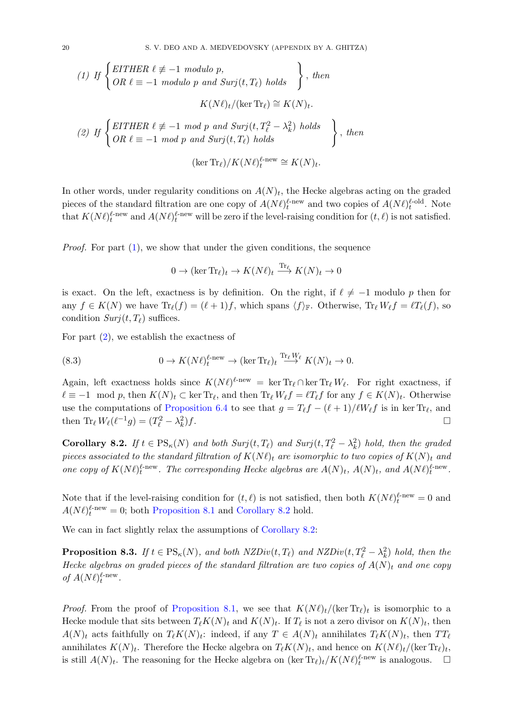<span id="page-19-1"></span><span id="page-19-0"></span>(1) If 
$$
\begin{cases} \text{EITHER } \ell \not\equiv -1 \text{ modulo } p, \\ \text{OR } \ell \equiv -1 \text{ modulo } p \text{ and } \text{Surj}(t, T_{\ell}) \text{ holds} \end{cases}, \text{ then} \\ K(N\ell)_t / (\ker \text{Tr}_{\ell}) \cong K(N)_t.
$$
  
(2) If 
$$
\begin{cases} \text{EITHER } \ell \not\equiv -1 \text{ mod } p \text{ and } \text{Surj}(t, T_{\ell}^2 - \lambda_k^2) \text{ holds} \\ \text{OR } \ell \equiv -1 \text{ mod } p \text{ and } \text{Surj}(t, T_{\ell}) \text{ holds} \end{cases}, \text{ then}
$$

$$
(\ker \text{Tr}_{\ell})/K(N\ell)_{t}^{\ell-\text{new}} \cong K(N)_t.
$$

In other words, under regularity conditions on  $A(N)<sub>t</sub>$ , the Hecke algebras acting on the graded pieces of the standard filtration are one copy of  $A(N\ell)_{t}^{\ell-\text{new}}$  and two copies of  $A(N\ell)_{t}^{\ell-\text{old}}$ . Note that  $K(N\ell)_{t}^{\ell$ -new and  $A(N\ell)_{t}^{\ell}$ -new will be zero if the level-raising condition for  $(t,\ell)$  is not satisfied.

Proof. For part [\(1\)](#page-19-0), we show that under the given conditions, the sequence

<span id="page-19-4"></span>
$$
0 \to (\ker \text{Tr}_{\ell})_t \to K(N\ell)_t \xrightarrow{\text{Tr}_{\ell}} K(N)_t \to 0
$$

is exact. On the left, exactness is by definition. On the right, if  $\ell \neq -1$  modulo p then for any  $f \in K(N)$  we have  $\text{Tr}_{\ell}(f) = (\ell + 1)f$ , which spans  $\langle f \rangle_{\mathbb{F}}$ . Otherwise,  $\text{Tr}_{\ell} W_{\ell} f = \ell T_{\ell}(f)$ , so condition  $Surj(t, T_\ell)$  suffices.

For part  $(2)$ , we establish the exactness of

(8.3) 
$$
0 \to K(N\ell)_{t}^{\ell-\text{new}} \to (\ker \text{Tr}_{\ell})_{t} \xrightarrow{\text{Tr}_{\ell} W_{\ell}} K(N)_{t} \to 0.
$$

Again, left exactness holds since  $K(N\ell)^{\ell-\text{new}} = \ker \text{Tr}_{\ell} \cap \ker \text{Tr}_{\ell} W_{\ell}$ . For right exactness, if  $\ell \equiv -1 \mod p$ , then  $K(N)_t \subset \ker \text{Tr}_\ell$ , and then  $\text{Tr}_\ell W_\ell f = \ell T_\ell f$  for any  $f \in K(N)_t$ . Otherwise use the computations of [Proposition 6.4](#page-12-0) to see that  $g = T_{\ell} f - (\ell + 1)/\ell W_{\ell} f$  is in ker Tr<sub> $\ell$ </sub>, and then  $\text{Tr}_{\ell} W_{\ell}(\ell^{-1}g) = (T_{\ell}^2 - \lambda_k^2)$  $)f.$ 

<span id="page-19-2"></span>**Corollary 8.2.** If  $t \in PS_{\kappa}(N)$  and both  $Surj(t, T_{\ell})$  and  $Surj(t, T_{\ell}^2 - \lambda_k^2)$  hold, then the graded pieces associated to the standard filtration of  $K(N\ell)_t$  are isomorphic to two copies of  $K(N)_t$  and one copy of  $K(N\ell)_{t}^{\ell-\text{new}}$ . The corresponding Hecke algebras are  $A(N)_t$ ,  $A(N)_t$ , and  $A(N\ell)_{t}^{\ell-\text{new}}$ .

Note that if the level-raising condition for  $(t, \ell)$  is not satisfied, then both  $K(N\ell)_{t}^{\ell \text{-new}} = 0$  and  $A(N\ell)_t^{\ell{\text{-new}}} = 0$ ; both [Proposition 8.1](#page-18-2) and [Corollary 8.2](#page-19-2) hold.

<span id="page-19-3"></span>We can in fact slightly relax the assumptions of [Corollary 8.2:](#page-19-2)

**Proposition 8.3.** If  $t \in PS_{\kappa}(N)$ , and both  $NZDiv(t, T_{\ell})$  and  $NZDiv(t, T_{\ell}^2 - \lambda_k^2)$  hold, then the Hecke algebras on graded pieces of the standard filtration are two copies of  $A(N)_t$  and one copy of  $A(N\ell)_t^{\ell{\text{-new}}}.$ 

*Proof.* From the proof of [Proposition 8.1,](#page-18-2) we see that  $K(N\ell)_t/(\ker \text{Tr}_\ell)_t$  is isomorphic to a Hecke module that sits between  $T_{\ell}K(N)_t$  and  $K(N)_t$ . If  $T_{\ell}$  is not a zero divisor on  $K(N)_t$ , then  $A(N)_t$  acts faithfully on  $T_\ell K(N)_t$ : indeed, if any  $T \in A(N)_t$  annihilates  $T_\ell K(N)_t$ , then  $TT_\ell$ annihilates  $K(N)_t$ . Therefore the Hecke algebra on  $T_{\ell}K(N)_t$ , and hence on  $K(N\ell)_t/(\ker \text{Tr}_{\ell})_t$ , is still  $A(N)_t$ . The reasoning for the Hecke algebra on  $(\ker \text{Tr}_{\ell})_t/K(N\ell)_{t}^{\ell-\text{new}}$  is analogous.  $\square$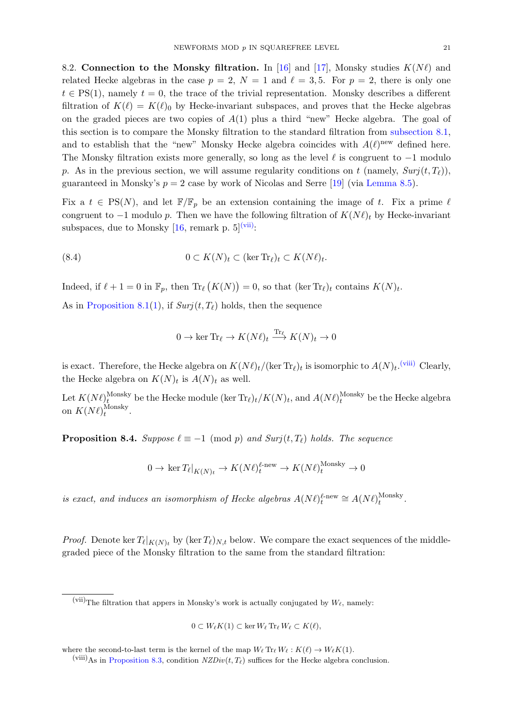8.2. Connection to the Monsky filtration. In [\[16\]](#page-27-0) and [\[17\]](#page-27-1), Monsky studies  $K(N\ell)$  and related Hecke algebras in the case  $p = 2$ ,  $N = 1$  and  $\ell = 3, 5$ . For  $p = 2$ , there is only one  $t \in PS(1)$ , namely  $t = 0$ , the trace of the trivial representation. Monsky describes a different filtration of  $K(\ell) = K(\ell)_0$  by Hecke-invariant subspaces, and proves that the Hecke algebras on the graded pieces are two copies of  $A(1)$  plus a third "new" Hecke algebra. The goal of this section is to compare the Monsky filtration to the standard filtration from [subsection 8.1,](#page-18-4) and to establish that the "new" Monsky Hecke algebra coincides with  $A(\ell)$ <sup>new</sup> defined here. The Monsky filtration exists more generally, so long as the level  $\ell$  is congruent to  $-1$  modulo p. As in the previous section, we will assume regularity conditions on t (namely,  $Surj(t, T_{\ell})$ ), guaranteed in Monsky's  $p = 2$  case by work of Nicolas and Serre [\[19\]](#page-27-9) (via [Lemma 8.5\)](#page-21-1).

Fix a  $t \in \text{PS}(N)$ , and let  $\mathbb{F}/\mathbb{F}_p$  be an extension containing the image of t. Fix a prime  $\ell$ congruent to  $-1$  modulo p. Then we have the following filtration of  $K(N\ell)_t$  by Hecke-invariant subspaces, due to Monsky  $[16,$  remark p.  $5]^{(\text{vii})}$ :

(8.4) 
$$
0 \subset K(N)_t \subset (\ker \operatorname{Tr}_\ell)_t \subset K(N\ell)_t.
$$

Indeed, if  $\ell + 1 = 0$  in  $\mathbb{F}_p$ , then  $\text{Tr}_{\ell}(K(N)) = 0$ , so that  $(\text{ker Tr}_{\ell})_t$  contains  $K(N)_t$ .

As in [Proposition 8.1\(](#page-18-2)[1\)](#page-19-0), if  $Surj(t, T_\ell)$  holds, then the sequence

<span id="page-20-0"></span>
$$
0 \to \ker \text{Tr}_{\ell} \to K(N\ell)_t \xrightarrow{\text{Tr}_{\ell}} K(N)_t \to 0
$$

is exact. Therefore, the Hecke algebra on  $K(N\ell)_t/(\ker \text{Tr}_\ell)_t$  is isomorphic to  $A(N)_t$ . <sup>[\(viii\)](#page-20-3)</sup> Clearly, the Hecke algebra on  $K(N)_t$  is  $A(N)_t$  as well.

Let  $K(N\ell)_{t}^{\text{Monsky}}$  be the Hecke module  $(\ker \text{Tr}_{\ell})_t/K(N)_t$ , and  $A(N\ell)_{t}^{\text{Monsky}}$  be the Hecke algebra on  $K(N\ell)_t^{\text{Monsky}}$  $_t^{\text{Monsky}}$ .

<span id="page-20-1"></span>**Proposition 8.4.** Suppose  $\ell \equiv -1 \pmod{p}$  and Surj $(t, T_{\ell})$  holds. The sequence

$$
0 \to \ker T_{\ell}|_{K(N)_t} \to K(N\ell)^{\ell\text{-new}}_t \to K(N\ell)^{\text{Monsky}}_t \to 0
$$

is exact, and induces an isomorphism of Hecke algebras  $A(N\ell)_{t}^{\ell\text{-new}} \cong A(N\ell)_{t}^{\text{Monsky}}$  $_t^{\text{Monsky}}$ .

*Proof.* Denote ker  $T_{\ell}|_{K(N)_t}$  by (ker  $T_{\ell}|_{N,t}$  below. We compare the exact sequences of the middlegraded piece of the Monsky filtration to the same from the standard filtration:

 $0 \subset W_{\ell}K(1) \subset \ker W_{\ell} \mathrm{Tr}_{\ell} W_{\ell} \subset K(\ell),$ 

where the second-to-last term is the kernel of the map  $W_\ell \text{Tr}_\ell W_\ell : K(\ell) \to W_\ell K(1)$ .

<span id="page-20-2"></span><sup>(</sup>vii)The filtration that appers in Monsky's work is actually conjugated by  $W_{\ell}$ , namely:

<span id="page-20-3"></span><sup>(</sup>viii)As in [Proposition 8.3,](#page-19-3) condition  $NZDiv(t, T_\ell)$  suffices for the Hecke algebra conclusion.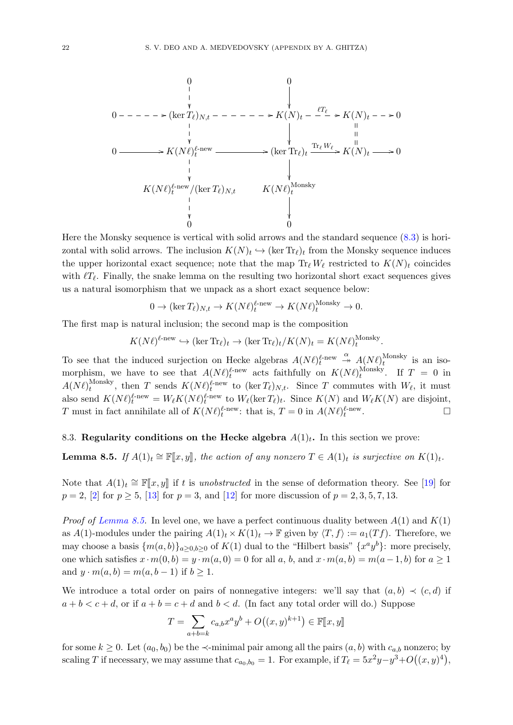

Here the Monsky sequence is vertical with solid arrows and the standard sequence [\(8.3\)](#page-19-4) is horizontal with solid arrows. The inclusion  $K(N)_t \hookrightarrow (\ker \text{Tr}_{\ell})_t$  from the Monsky sequence induces the upper horizontal exact sequence; note that the map  $\text{Tr}_{\ell} W_{\ell}$  restricted to  $K(N)_t$  coincides with  $\ell T_{\ell}$ . Finally, the snake lemma on the resulting two horizontal short exact sequences gives us a natural isomorphism that we unpack as a short exact sequence below:

$$
0 \to (\ker T_{\ell})_{N,t} \to K(N\ell)^{\ell-\text{new}}_t \to K(N\ell)^{\text{Monsky}}_t \to 0.
$$

The first map is natural inclusion; the second map is the composition

$$
K(N\ell)^{\ell-\text{new}} \hookrightarrow (\ker \text{Tr}_{\ell})_t \to (\ker \text{Tr}_{\ell})_t/K(N)_t = K(N\ell)^{\text{Monsky}}_t.
$$

To see that the induced surjection on Hecke algebras  $A(N\ell)_{t}^{\ell-\text{new}} \stackrel{\alpha}{\rightarrow} A(N\ell)_{t}^{\text{Monsky}}$  $t^{100000}$  is an isomorphism, we have to see that  $A(N\ell)_{t}^{\ell-\text{new}}$  acts faithfully on  $K(N\ell)_{t}^{\text{Monsky}}$  $t$ <sup>MONSKY</sup>. If  $T = 0$  in  $A(N\ell)_t^{\text{Monsky}}$ <sup>Monsky</sup>, then T sends  $K(N\ell)_{t}^{\ell-\text{new}}$  to  $(\ker T_{\ell})_{N,t}$ . Since T commutes with  $W_{\ell}$ , it must also send  $K(N\ell)_{t}^{\ell-\text{new}} = W_{\ell}K(N\ell)_{t}^{\ell-\text{new}}$  to  $W_{\ell}(\ker T_{\ell})_{t}$ . Since  $K(N)$  and  $W_{\ell}K(N)$  are disjoint, T must in fact annihilate all of  $K(N\ell)_{t}^{\ell-\text{new}}$ : that is,  $T = 0$  in  $A(N\ell)_{t}^{\ell-\text{new}}$ .

## <span id="page-21-0"></span>8.3. Regularity conditions on the Hecke algebra  $A(1)<sub>t</sub>$ . In this section we prove:

<span id="page-21-1"></span>**Lemma 8.5.** If  $A(1)_t \cong \mathbb{F}[x, y]$ , the action of any nonzero  $T \in A(1)_t$  is surjective on  $K(1)_t$ .

Note that  $A(1)_t \cong \mathbb{F}[x, y]$  if t is unobstructed in the sense of deformation theory. See [\[19\]](#page-27-9) for  $p = 2$ , [\[2\]](#page-26-7) for  $p \ge 5$ , [\[13\]](#page-27-10) for  $p = 3$ , and [\[12\]](#page-27-8) for more discussion of  $p = 2, 3, 5, 7, 13$ .

*Proof of [Lemma 8.5.](#page-21-1)* In level one, we have a perfect continuous duality between  $A(1)$  and  $K(1)$ as  $A(1)$ -modules under the pairing  $A(1)_t \times K(1)_t \to \mathbb{F}$  given by  $\langle T, f \rangle := a_1(Tf)$ . Therefore, we may choose a basis  $\{m(a, b)\}_{a\geq 0, b\geq 0}$  of  $K(1)$  dual to the "Hilbert basis"  $\{x^a y^b\}$ : more precisely, one which satisfies  $x \cdot m(0, b) = y \cdot m(a, 0) = 0$  for all a, b, and  $x \cdot m(a, b) = m(a-1, b)$  for  $a \ge 1$ and  $y \cdot m(a, b) = m(a, b - 1)$  if  $b \ge 1$ .

We introduce a total order on pairs of nonnegative integers: we'll say that  $(a, b) \prec (c, d)$  if  $a + b < c + d$ , or if  $a + b = c + d$  and  $b < d$ . (In fact any total order will do.) Suppose

$$
T = \sum_{a+b=k} c_{a,b} x^a y^b + O((x, y)^{k+1}) \in \mathbb{F}[x, y]
$$

for some  $k \geq 0$ . Let  $(a_0, b_0)$  be the  $\prec$ -minimal pair among all the pairs  $(a, b)$  with  $c_{a,b}$  nonzero; by scaling T if necessary, we may assume that  $c_{a_0,b_0} = 1$ . For example, if  $T_\ell = 5x^2y - y^3 + O((x, y)^4)$ ,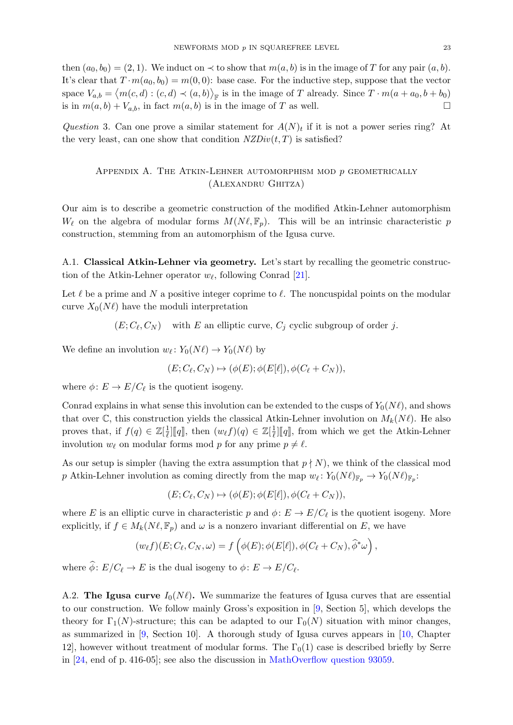then  $(a_0, b_0) = (2, 1)$ . We induct on  $\prec$  to show that  $m(a, b)$  is in the image of T for any pair  $(a, b)$ . It's clear that  $T \cdot m(a_0, b_0) = m(0, 0)$ : base case. For the inductive step, suppose that the vector space  $V_{a,b} = (m(c, d) : (c, d) \prec (a, b))_{\mathbb{F}}$  is in the image of T already. Since  $T \cdot m(a + a_0, b + b_0)$ is in  $m(a, b) + V_{a,b}$ , in fact  $m(a, b)$  is in the image of T as well.

Question 3. Can one prove a similar statement for  $A(N)<sub>t</sub>$  if it is not a power series ring? At the very least, can one show that condition  $NZDiv(t, T)$  is satisfied?

## <span id="page-22-0"></span>APPENDIX A. THE ATKIN-LEHNER AUTOMORPHISM MOD  $p$  geometrically (Alexandru Ghitza)

Our aim is to describe a geometric construction of the modified Atkin-Lehner automorphism  $W_{\ell}$  on the algebra of modular forms  $M(N\ell, \mathbb{F}_p)$ . This will be an intrinsic characteristic p construction, stemming from an automorphism of the Igusa curve.

A.1. Classical Atkin-Lehner via geometry. Let's start by recalling the geometric construction of the Atkin-Lehner operator  $w_{\ell}$ , following Conrad [\[21\]](#page-27-5).

Let  $\ell$  be a prime and N a positive integer coprime to  $\ell$ . The noncuspidal points on the modular curve  $X_0(N\ell)$  have the moduli interpretation

 $(E; C_{\ell}, C_N)$  with E an elliptic curve,  $C_j$  cyclic subgroup of order j.

We define an involution  $w_{\ell} \colon Y_0(N\ell) \to Y_0(N\ell)$  by

$$
(E; C_{\ell}, C_N) \mapsto (\phi(E); \phi(E[\ell]), \phi(C_{\ell} + C_N)),
$$

where  $\phi: E \to E/C_{\ell}$  is the quotient isogeny.

Conrad explains in what sense this involution can be extended to the cusps of  $Y_0(N \ell)$ , and shows that over  $\mathbb C$ , this construction yields the classical Atkin-Lehner involution on  $M_k(N \ell)$ . He also proves that, if  $f(q) \in \mathbb{Z}[\frac{1}{\ell}]$  $\frac{1}{\ell}$ ][q], then  $(w_{\ell}f)(q) \in \mathbb{Z}[\frac{1}{\ell}]$  $\frac{1}{\ell}$  [*q*], from which we get the Atkin-Lehner involution  $w_{\ell}$  on modular forms mod p for any prime  $p \neq \ell$ .

As our setup is simpler (having the extra assumption that  $p \nmid N$ ), we think of the classical mod p Atkin-Lehner involution as coming directly from the map  $w_{\ell} \colon Y_0(N\ell)_{\mathbb{F}_p} \to Y_0(N\ell)_{\mathbb{F}_p}$ :

$$
(E; C_{\ell}, C_N) \mapsto (\phi(E); \phi(E[\ell]), \phi(C_{\ell} + C_N)),
$$

where E is an elliptic curve in characteristic p and  $\phi: E \to E/C_{\ell}$  is the quotient isogeny. More explicitly, if  $f \in M_k(N\ell, \mathbb{F}_p)$  and  $\omega$  is a nonzero invariant differential on E, we have

$$
(w_{\ell}f)(E;C_{\ell},C_N,\omega)=f\left(\phi(E); \phi(E[\ell]), \phi(C_{\ell}+C_N), \widehat{\phi}^*\omega\right),
$$

where  $\phi: E/C_{\ell} \to E$  is the dual isogeny to  $\phi: E \to E/C_{\ell}$ .

A.2. The Igusa curve  $I_0(N\ell)$ . We summarize the features of Igusa curves that are essential to our construction. We follow mainly Gross's exposition in [\[9,](#page-26-10) Section 5], which develops the theory for  $\Gamma_1(N)$ -structure; this can be adapted to our  $\Gamma_0(N)$  situation with minor changes, as summarized in  $[9, \text{Section 10}]$ . A thorough study of Igusa curves appears in  $[10, \text{ Chapter}$ 12], however without treatment of modular forms. The  $\Gamma_0(1)$  case is described briefly by Serre in [\[24,](#page-27-6) end of p. 416-05]; see also the discussion in [MathOverflow question 93059.](https://mathoverflow.net/questions/93059)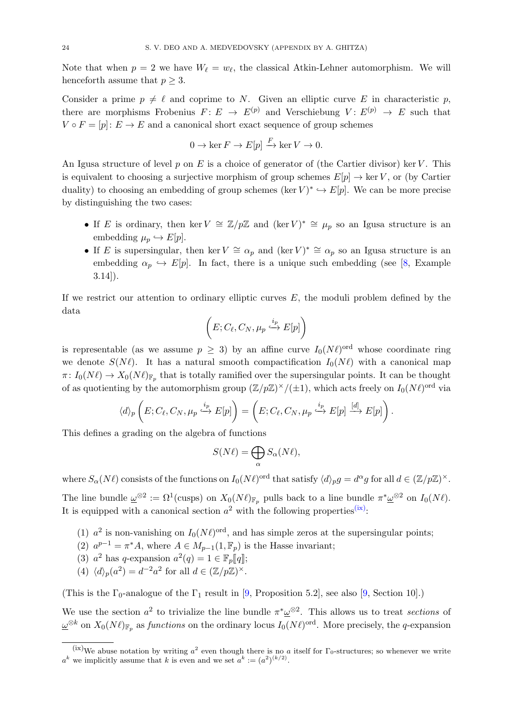Note that when  $p = 2$  we have  $W_{\ell} = w_{\ell}$ , the classical Atkin-Lehner automorphism. We will henceforth assume that  $p \geq 3$ .

Consider a prime  $p \neq \ell$  and coprime to N. Given an elliptic curve E in characteristic p, there are morphisms Frobenius  $F: E \to E^{(p)}$  and Verschiebung  $V: E^{(p)} \to E$  such that  $V \circ F = [p]: E \to E$  and a canonical short exact sequence of group schemes

$$
0 \to \ker F \to E[p] \xrightarrow{F} \ker V \to 0.
$$

An Igusa structure of level  $p$  on  $E$  is a choice of generator of (the Cartier divisor) ker  $V$ . This is equivalent to choosing a surjective morphism of group schemes  $E[p] \to \text{ker } V$ , or (by Cartier duality) to choosing an embedding of group schemes (ker  $V^* \hookrightarrow E[p]$ . We can be more precise by distinguishing the two cases:

- If E is ordinary, then ker  $V \cong \mathbb{Z}/p\mathbb{Z}$  and  $(\ker V)^* \cong \mu_p$  so an Igusa structure is an embedding  $\mu_p \hookrightarrow E[p]$ .
- If E is supersingular, then ker  $V \cong \alpha_p$  and  $(\ker V)^* \cong \alpha_p$  so an Igusa structure is an embedding  $\alpha_p \leftrightarrow E[p]$ . In fact, there is a unique such embedding (see [\[8,](#page-26-4) Example 3.14]).

If we restrict our attention to ordinary elliptic curves  $E$ , the moduli problem defined by the data

$$
\left(E;C_{\ell},C_{N},\mu_{p}\stackrel{i_{p}}{\hookrightarrow}E[p]\right)
$$

is representable (as we assume  $p \geq 3$ ) by an affine curve  $I_0(N\ell)$ <sup>ord</sup> whose coordinate ring we denote  $S(N \ell)$ . It has a natural smooth compactification  $I_0(N \ell)$  with a canonical map  $\pi: I_0(N\ell) \to X_0(N\ell)_{\mathbb{F}_p}$  that is totally ramified over the supersingular points. It can be thought of as quotienting by the automorphism group  $(\mathbb{Z}/p\mathbb{Z})^{\times}/(\pm 1)$ , which acts freely on  $I_0(N\ell)^{\text{ord}}$  via

$$
\langle d \rangle_p \left( E; C_\ell, C_N, \mu_p \stackrel{i_p}{\hookrightarrow} E[p] \right) = \left( E; C_\ell, C_N, \mu_p \stackrel{i_p}{\hookrightarrow} E[p] \stackrel{[d]}{\longrightarrow} E[p] \right).
$$

This defines a grading on the algebra of functions

$$
S(N\ell) = \bigoplus_{\alpha} S_{\alpha}(N\ell),
$$

where  $S_{\alpha}(N\ell)$  consists of the functions on  $I_0(N\ell)$ <sup>ord</sup> that satisfy  $\langle d \rangle_p g = d^{\alpha} g$  for all  $d \in (\mathbb{Z}/p\mathbb{Z})^{\times}$ .

The line bundle  $\underline{\omega}^{\otimes 2} := \Omega^1(\text{cusps})$  on  $X_0(N\ell)_{\mathbb{F}_p}$  pulls back to a line bundle  $\pi^* \underline{\omega}^{\otimes 2}$  on  $I_0(N\ell)$ . It is equipped with a canonical section  $a^2$  with the following properties<sup>[\(ix\)](#page-23-0)</sup>:

- (1)  $a^2$  is non-vanishing on  $I_0(N\ell)^\text{ord}$ , and has simple zeros at the supersingular points;
- (2)  $a^{p-1} = \pi^* A$ , where  $A \in M_{p-1}(1, \mathbb{F}_p)$  is the Hasse invariant;
- (3)  $a^2$  has q-expansion  $a^2(q) = 1 \in \mathbb{F}_p[\![q]\!]$ ;
- (4)  $\langle d \rangle_p(a^2) = d^{-2}a^2$  for all  $d \in (\mathbb{Z}/p\mathbb{Z})^{\times}$ .

(This is the  $\Gamma_0$ -analogue of the  $\Gamma_1$  result in [\[9,](#page-26-10) Proposition 5.2], see also [9, Section 10].)

We use the section  $a^2$  to trivialize the line bundle  $\pi^* \underline{\omega}^{\otimes 2}$ . This allows us to treat sections of  $\underline{\omega}^{\otimes k}$  on  $X_0(N\ell)_{\mathbb{F}_p}$  as *functions* on the ordinary locus  $I_0(N\ell)^\text{ord}$ . More precisely, the *q*-expansion

<span id="page-23-0"></span><sup>(</sup>ix)We abuse notation by writing  $a^2$  even though there is no a itself for  $\Gamma_0$ -structures; so whenever we write  $a^k$  we implicitly assume that k is even and we set  $a^k := (a^2)^{(k/2)}$ .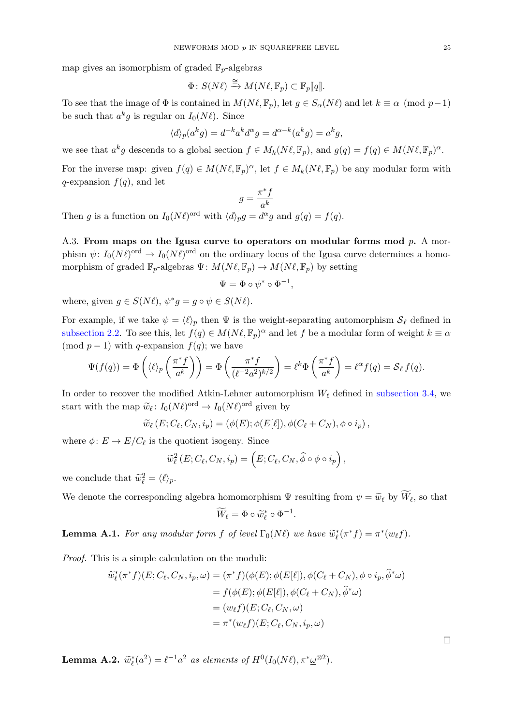map gives an isomorphism of graded  $\mathbb{F}_p$ -algebras

$$
\Phi\colon S(N\ell) \xrightarrow{\cong} M(N\ell, \mathbb{F}_p) \subset \mathbb{F}_p[\![q]\!].
$$

To see that the image of  $\Phi$  is contained in  $M(N\ell, \mathbb{F}_p)$ , let  $g \in S_\alpha(N\ell)$  and let  $k \equiv \alpha \pmod{p-1}$ be such that  $a^k g$  is regular on  $I_0(N\ell)$ . Since

$$
\langle d \rangle_p(a^kg) = d^{-k}a^kd^{\alpha}g = d^{\alpha - k}(a^kg) = a^kg,
$$

we see that  $a^k g$  descends to a global section  $f \in M_k(N\ell, \mathbb{F}_p)$ , and  $g(q) = f(q) \in M(N\ell, \mathbb{F}_p)^\alpha$ .

For the inverse map: given  $f(q) \in M(N\ell, \mathbb{F}_p)^\alpha$ , let  $f \in M_k(N\ell, \mathbb{F}_p)$  be any modular form with  $q$ -expansion  $f(q)$ , and let

$$
g = \frac{\pi^* f}{a^k}
$$

Then g is a function on  $I_0(N\ell)^\text{ord}$  with  $\langle d \rangle_p g = d^\alpha g$  and  $g(q) = f(q)$ .

A.3. From maps on the Igusa curve to operators on modular forms mod  $p$ . A morphism  $\psi: I_0(N\ell)^\text{ord} \to I_0(N\ell)^\text{ord}$  on the ordinary locus of the Igusa curve determines a homomorphism of graded  $\mathbb{F}_p$ -algebras  $\Psi \colon M(N\ell, \mathbb{F}_p) \to M(N\ell, \mathbb{F}_p)$  by setting

$$
\Psi = \Phi \circ \psi^* \circ \Phi^{-1},
$$

where, given  $g \in S(N\ell)$ ,  $\psi^* g = g \circ \psi \in S(N\ell)$ .

For example, if we take  $\psi = \langle \ell \rangle_p$  then  $\Psi$  is the weight-separating automorphism  $S_\ell$  defined in [subsection 2.2.](#page-3-4) To see this, let  $f(q) \in M(N\ell, \mathbb{F}_p)^\alpha$  and let f be a modular form of weight  $k \equiv \alpha$ (mod  $p-1$ ) with q-expansion  $f(q)$ ; we have

$$
\Psi(f(q)) = \Phi\left(\langle \ell \rangle_p \left(\frac{\pi^* f}{a^k}\right)\right) = \Phi\left(\frac{\pi^* f}{(\ell^{-2} a^2)^{k/2}}\right) = \ell^k \Phi\left(\frac{\pi^* f}{a^k}\right) = \ell^{\alpha} f(q) = \mathcal{S}_{\ell} f(q).
$$

In order to recover the modified Atkin-Lehner automorphism  $W_{\ell}$  defined in [subsection 3.4,](#page-7-0) we start with the map  $\widetilde{w}_{\ell}$ :  $I_0(N\ell)^{\text{ord}} \to I_0(N\ell)^{\text{ord}}$  given by

$$
\widetilde{w}_{\ell}(E; C_{\ell}, C_N, i_p) = (\phi(E); \phi(E[\ell]), \phi(C_{\ell} + C_N), \phi \circ i_p),
$$

where  $\phi: E \to E/C_{\ell}$  is the quotient isogeny. Since

$$
\widetilde{w}_{\ell}^{2}\left(E;C_{\ell},C_{N},i_{p}\right)=\left(E;C_{\ell},C_{N},\widehat{\phi}\circ\phi\circ i_{p}\right),\,
$$

we conclude that  $\tilde{w}_{\ell}^2 = \langle \ell \rangle_p$ .

We denote the corresponding algebra homomorphism  $\Psi$  resulting from  $\psi = \widetilde{w}_{\ell}$  by  $W_{\ell}$ , so that

$$
\widetilde{W}_{\ell} = \Phi \circ \widetilde{w}_{\ell}^* \circ \Phi^{-1}.
$$

<span id="page-24-0"></span>**Lemma A.1.** For any modular form f of level  $\Gamma_0(N\ell)$  we have  $\widetilde{w}_{\ell}^*(\pi^*f) = \pi^*(w_{\ell}f)$ .

Proof. This is a simple calculation on the moduli:

$$
\widetilde{w}_{\ell}^{*}(\pi^{*}f)(E; C_{\ell}, C_{N}, i_{p}, \omega) = (\pi^{*}f)(\phi(E); \phi(E[\ell]), \phi(C_{\ell} + C_{N}), \phi \circ i_{p}, \widehat{\phi}^{*}\omega)
$$

$$
= f(\phi(E); \phi(E[\ell]), \phi(C_{\ell} + C_{N}), \widehat{\phi}^{*}\omega)
$$

$$
= (w_{\ell}f)(E; C_{\ell}, C_{N}, \omega)
$$

$$
= \pi^{*}(w_{\ell}f)(E; C_{\ell}, C_{N}, i_{p}, \omega)
$$

<span id="page-24-1"></span>**Lemma A.2.**  $\widetilde{w}_{\ell}^*(a^2) = \ell^{-1}a^2$  as elements of  $H^0(I_0(N\ell), \pi^*\underline{\omega}^{\otimes 2})$ .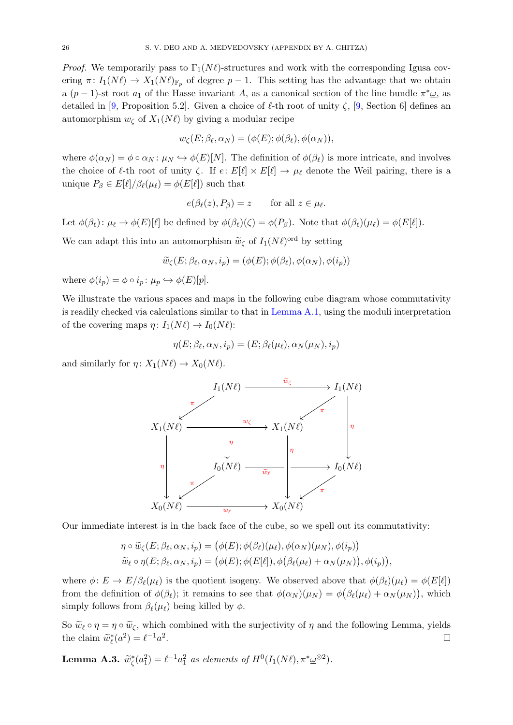*Proof.* We temporarily pass to  $\Gamma_1(N\ell)$ -structures and work with the corresponding Igusa covering  $\pi: I_1(N\ell) \to X_1(N\ell)_{\mathbb{F}_p}$  of degree  $p-1$ . This setting has the advantage that we obtain a  $(p-1)$ -st root  $a_1$  of the Hasse invariant A, as a canonical section of the line bundle  $\pi^*\underline{\omega}$ , as detailed in [\[9,](#page-26-10) Proposition 5.2]. Given a choice of  $\ell$ -th root of unity  $\zeta$ , [9, Section 6] defines an automorphism  $w_{\zeta}$  of  $X_1(N\ell)$  by giving a modular recipe

$$
w_{\zeta}(E;\beta_{\ell},\alpha_{N})=(\phi(E);\phi(\beta_{\ell}),\phi(\alpha_{N})),
$$

where  $\phi(\alpha_N) = \phi \circ \alpha_N : \mu_N \hookrightarrow \phi(E)[N]$ . The definition of  $\phi(\beta_\ell)$  is more intricate, and involves the choice of  $\ell$ -th root of unity  $\zeta$ . If  $e: E[\ell] \times E[\ell] \to \mu_{\ell}$  denote the Weil pairing, there is a unique  $P_\beta \in E[\ell]/\beta_\ell(\mu_\ell) = \phi(E[\ell])$  such that

$$
e(\beta_{\ell}(z), P_{\beta}) = z \quad \text{for all } z \in \mu_{\ell}.
$$

Let  $\phi(\beta_\ell): \mu_\ell \to \phi(E)[\ell]$  be defined by  $\phi(\beta_\ell)(\zeta) = \phi(P_\beta)$ . Note that  $\phi(\beta_\ell)(\mu_\ell) = \phi(E[\ell]).$ 

We can adapt this into an automorphism  $\widetilde{w}_{\zeta}$  of  $I_1(N\ell)^\text{ord}$  by setting

$$
\widetilde{w}_{\zeta}(E; \beta_{\ell}, \alpha_N, i_p) = (\phi(E); \phi(\beta_{\ell}), \phi(\alpha_N), \phi(i_p))
$$

where  $\phi(i_p) = \phi \circ i_p : \mu_p \hookrightarrow \phi(E)[p].$ 

We illustrate the various spaces and maps in the following cube diagram whose commutativity is readily checked via calculations similar to that in [Lemma A.1,](#page-24-0) using the moduli interpretation of the covering maps  $\eta \colon I_1(N\ell) \to I_0(N\ell)$ :

$$
\eta(E; \beta_{\ell}, \alpha_N, i_p) = (E; \beta_{\ell}(\mu_{\ell}), \alpha_N(\mu_N), i_p)
$$

and similarly for  $\eta: X_1(N\ell) \to X_0(N\ell)$ .



Our immediate interest is in the back face of the cube, so we spell out its commutativity:

$$
\eta \circ \widetilde{w}_{\zeta}(E; \beta_{\ell}, \alpha_{N}, i_{p}) = (\phi(E); \phi(\beta_{\ell})(\mu_{\ell}), \phi(\alpha_{N})(\mu_{N}), \phi(i_{p})) \widetilde{w}_{\ell} \circ \eta(E; \beta_{\ell}, \alpha_{N}, i_{p}) = (\phi(E); \phi(E[\ell]), \phi(\beta_{\ell}(\mu_{\ell}) + \alpha_{N}(\mu_{N})), \phi(i_{p})),
$$

where  $\phi: E \to E/\beta_{\ell}(\mu_{\ell})$  is the quotient isogeny. We observed above that  $\phi(\beta_{\ell})(\mu_{\ell}) = \phi(E[\ell])$ from the definition of  $\phi(\beta_\ell)$ ; it remains to see that  $\phi(\alpha_N)(\mu_N) = \phi(\beta_\ell(\mu_\ell) + \alpha_N(\mu_N))$ , which simply follows from  $\beta_{\ell}(\mu_{\ell})$  being killed by  $\phi$ .

So  $\widetilde{w}_{\ell} \circ \eta = \eta \circ \widetilde{w}_{\zeta}$ , which combined with the surjectivity of  $\eta$  and the following Lemma, yields the claim  $\widetilde{w}_{\ell}^*(a^2) = \ell^{-1}a^2$ . the claim  $\widetilde{w}_{\ell}^*(a^2) = \ell^{-1}a^2$ . The contract of the contract of the contract of the contract of the contract of the contract of the contract<br>The contract of the contract of the contract of the contract of the contract of the contract of the contract o

<span id="page-25-0"></span>**Lemma A.3.**  $\widetilde{w}_{\zeta}^*(a_1^2) = \ell^{-1}a_1^2$  as elements of  $H^0(I_1(N\ell), \pi^*\underline{\omega}^{\otimes 2})$ .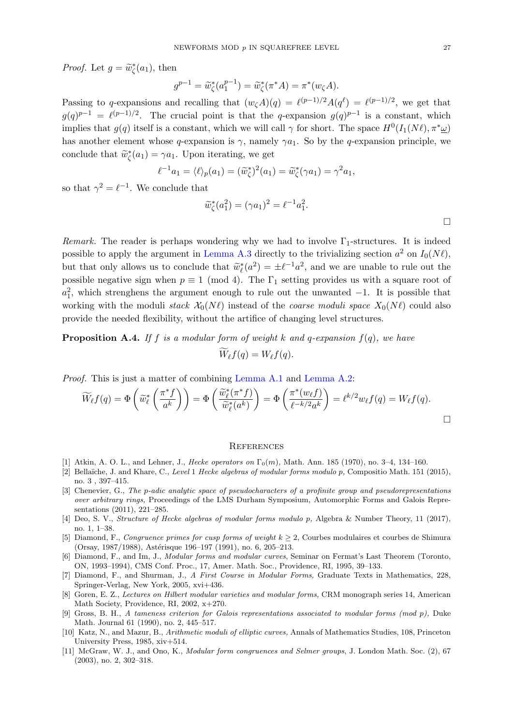*Proof.* Let  $g = \widetilde{w}_{\zeta}^*(a_1)$ , then

$$
g^{p-1} = \tilde{w}_{\zeta}^*(a_1^{p-1}) = \tilde{w}_{\zeta}^*(\pi^*A) = \pi^*(w_{\zeta}A).
$$

Passing to q-expansions and recalling that  $(w_{\zeta}A)(q) = \ell^{(p-1)/2}A(q^{\ell}) = \ell^{(p-1)/2}$ , we get that  $g(q)^{p-1} = \ell^{(p-1)/2}$ . The crucial point is that the q-expansion  $g(q)^{p-1}$  is a constant, which implies that  $g(q)$  itself is a constant, which we will call  $\gamma$  for short. The space  $H^0(I_1(N\ell), \pi^*\underline{\omega})$ has another element whose q-expansion is  $\gamma$ , namely  $\gamma a_1$ . So by the q-expansion principle, we conclude that  $\widetilde{w}_{\zeta}^*(a_1) = \gamma a_1$ . Upon iterating, we get

$$
\ell^{-1}a_1 = \langle \ell \rangle_p(a_1) = (\tilde{w}_{\zeta}^*)^2(a_1) = \tilde{w}_{\zeta}^*(\gamma a_1) = \gamma^2 a_1,
$$

so that  $\gamma^2 = \ell^{-1}$ . We conclude that

$$
\widetilde{w}_{\zeta}^*(a_1^2) = (\gamma a_1)^2 = \ell^{-1} a_1^2.
$$

Remark. The reader is perhaps wondering why we had to involve  $\Gamma_1$ -structures. It is indeed possible to apply the argument in [Lemma A.3](#page-25-0) directly to the trivializing section  $a^2$  on  $I_0(N\ell)$ , but that only allows us to conclude that  $\tilde{w}_\ell^*(a^2) = \pm \ell^{-1}a^2$ , and we are unable to rule out the possible negative sign when  $p \equiv 1 \pmod{4}$ . The  $\Gamma_1$  setting provides us with a square root of  $a_1^2$ , which strenghens the argument enough to rule out the unwanted  $-1$ . It is possible that working with the moduli stack  $\mathcal{X}_0(N\ell)$  instead of the coarse moduli space  $X_0(N\ell)$  could also provide the needed flexibility, without the artifice of changing level structures.

**Proposition A.4.** If f is a modular form of weight k and q-expansion  $f(q)$ , we have

$$
W_{\ell}f(q) = W_{\ell}f(q).
$$

Proof. This is just a matter of combining [Lemma A.1](#page-24-0) and [Lemma A.2:](#page-24-1)

$$
\widetilde{W}_{\ell}f(q) = \Phi\left(\widetilde{w}_{\ell}^{*}\left(\frac{\pi^{*}f}{a^{k}}\right)\right) = \Phi\left(\frac{\widetilde{w}_{\ell}^{*}(\pi^{*}f)}{\widetilde{w}_{\ell}^{*}(a^{k})}\right) = \Phi\left(\frac{\pi^{*}(w_{\ell}f)}{\ell^{-k/2}a^{k}}\right) = \ell^{k/2}w_{\ell}f(q) = W_{\ell}f(q).
$$

#### <span id="page-26-0"></span>**REFERENCES**

- <span id="page-26-1"></span>[1] Atkin, A. O. L., and Lehner, J., *Hecke operators on*  $\Gamma_0(m)$ , Math. Ann. 185 (1970), no. 3–4, 134–160.
- <span id="page-26-7"></span>[2] Bellaïche, J. and Khare, C., Level 1 Hecke algebras of modular forms modulo p, Compositio Math. 151 (2015), no. 3 , 397–415.
- <span id="page-26-9"></span>[3] Chenevier, G., The p-adic analytic space of pseudocharacters of a profinite group and pseudorepresentations over arbitrary rings, Proceedings of the LMS Durham Symposium, Automorphic Forms and Galois Representations (2011), 221–285.
- <span id="page-26-8"></span>[4] Deo, S. V., Structure of Hecke algebras of modular forms modulo p, Algebra & Number Theory, 11 (2017), no. 1, 1–38.
- <span id="page-26-2"></span>[5] Diamond, F., Congruence primes for cusp forms of weight  $k \geq 2$ , Courbes modulaires et courbes de Shimura (Orsay, 1987/1988), Astérisque 196–197 (1991), no. 6, 205–213.
- <span id="page-26-3"></span>[6] Diamond, F., and Im, J., Modular forms and modular curves, Seminar on Fermat's Last Theorem (Toronto, ON, 1993–1994), CMS Conf. Proc., 17, Amer. Math. Soc., Providence, RI, 1995, 39–133.
- <span id="page-26-5"></span>[7] Diamond, F., and Shurman, J., A First Course in Modular Forms, Graduate Texts in Mathematics, 228, Springer-Verlag, New York, 2005, xvi+436.
- <span id="page-26-4"></span>[8] Goren, E. Z., Lectures on Hilbert modular varieties and modular forms, CRM monograph series 14, American Math Society, Providence, RI, 2002, x+270.
- <span id="page-26-10"></span>[9] Gross, B. H., A tameness criterion for Galois representations associated to modular forms (mod p), Duke Math. Journal 61 (1990), no. 2, 445–517.
- <span id="page-26-11"></span>[10] Katz, N., and Mazur, B., Arithmetic moduli of elliptic curves, Annals of Mathematics Studies, 108, Princeton University Press, 1985, xiv+514.
- <span id="page-26-6"></span>[11] McGraw, W. J., and Ono, K., *Modular form congruences and Selmer groups*, J. London Math. Soc. (2), 67 (2003), no. 2, 302–318.